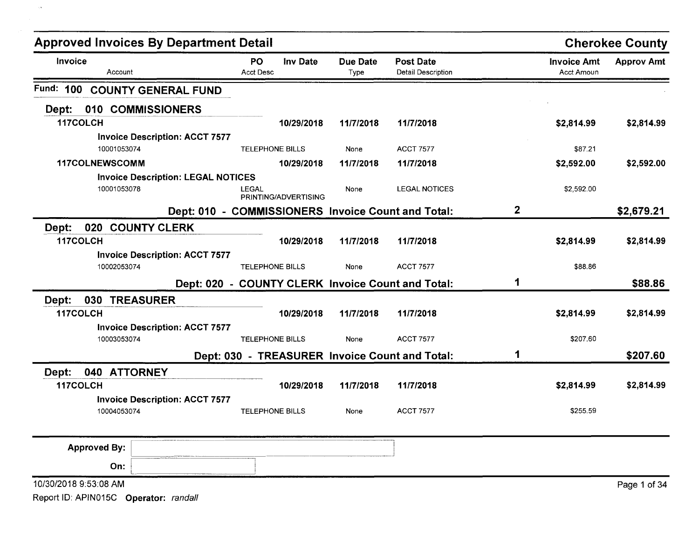| <b>Approved Invoices By Department Detail</b>      |                               |                      |                  |                                                   |              |                                  | <b>Cherokee County</b> |
|----------------------------------------------------|-------------------------------|----------------------|------------------|---------------------------------------------------|--------------|----------------------------------|------------------------|
| Invoice<br>Account                                 | <b>PO</b><br><b>Acct Desc</b> | Inv Date             | Due Date<br>Type | <b>Post Date</b><br><b>Detail Description</b>     |              | <b>Invoice Amt</b><br>Acct Amoun | <b>Approv Amt</b>      |
| Fund:<br>100<br><b>COUNTY GENERAL FUND</b>         |                               |                      |                  |                                                   |              |                                  |                        |
| 010 COMMISSIONERS<br>Dept:                         |                               |                      |                  |                                                   |              |                                  |                        |
| 117COLCH                                           |                               | 10/29/2018           | 11/7/2018        | 11/7/2018                                         |              | \$2,814.99                       | \$2,814.99             |
| <b>Invoice Description: ACCT 7577</b>              |                               |                      |                  |                                                   |              |                                  |                        |
| 10001053074                                        | <b>TELEPHONE BILLS</b>        |                      | None             | <b>ACCT 7577</b>                                  |              | \$87.21                          |                        |
| <b>117COLNEWSCOMM</b>                              |                               | 10/29/2018           | 11/7/2018        | 11/7/2018                                         |              | \$2,592.00                       | \$2,592.00             |
| <b>Invoice Description: LEGAL NOTICES</b>          |                               |                      |                  |                                                   |              |                                  |                        |
| 10001053078                                        | LEGAL                         | PRINTING/ADVERTISING | None             | <b>LEGAL NOTICES</b>                              |              | \$2,592.00                       |                        |
| Dept: 010 - COMMISSIONERS Invoice Count and Total: |                               |                      |                  |                                                   | $\mathbf{2}$ |                                  | \$2,679.21             |
| 020 COUNTY CLERK<br>Dept:                          |                               |                      |                  |                                                   |              |                                  |                        |
| 117COLCH                                           |                               | 10/29/2018           | 11/7/2018        | 11/7/2018                                         |              | \$2,814.99                       | \$2,814.99             |
| <b>Invoice Description: ACCT 7577</b>              |                               |                      |                  |                                                   |              |                                  |                        |
| 10002053074                                        | <b>TELEPHONE BILLS</b>        |                      | None             | <b>ACCT 7577</b>                                  |              | \$88.86                          |                        |
|                                                    |                               |                      |                  | Dept: 020 - COUNTY CLERK Invoice Count and Total: | 1            |                                  | \$88.86                |
| Dept:<br>030<br><b>TREASURER</b>                   |                               |                      |                  |                                                   |              |                                  |                        |
| 117COLCH                                           |                               | 10/29/2018           | 11/7/2018        | 11/7/2018                                         |              | \$2,814.99                       | \$2,814.99             |
| <b>Invoice Description: ACCT 7577</b>              |                               |                      |                  |                                                   |              |                                  |                        |
| 10003053074                                        | <b>TELEPHONE BILLS</b>        |                      | None             | <b>ACCT 7577</b>                                  |              | \$207.60                         |                        |
|                                                    |                               |                      |                  | Dept: 030 - TREASURER Invoice Count and Total:    | 1            |                                  | \$207.60               |
| 040 ATTORNEY<br>Dept:                              |                               |                      |                  |                                                   |              |                                  |                        |
| 117COLCH                                           |                               | 10/29/2018           | 11/7/2018        | 11/7/2018                                         |              | \$2,814.99                       | \$2,814.99             |
| <b>Invoice Description: ACCT 7577</b>              |                               |                      |                  |                                                   |              |                                  |                        |
| 10004053074                                        | <b>TELEPHONE BILLS</b>        |                      | None             | <b>ACCT 7577</b>                                  |              | \$255.59                         |                        |
| <b>Approved By:</b>                                |                               |                      |                  |                                                   |              |                                  |                        |
| On:                                                |                               |                      |                  |                                                   |              |                                  |                        |
| 10/30/2018 9:53:08 AM                              |                               |                      |                  |                                                   |              |                                  | Page 1 of 34           |

 $\sim$   $\sim$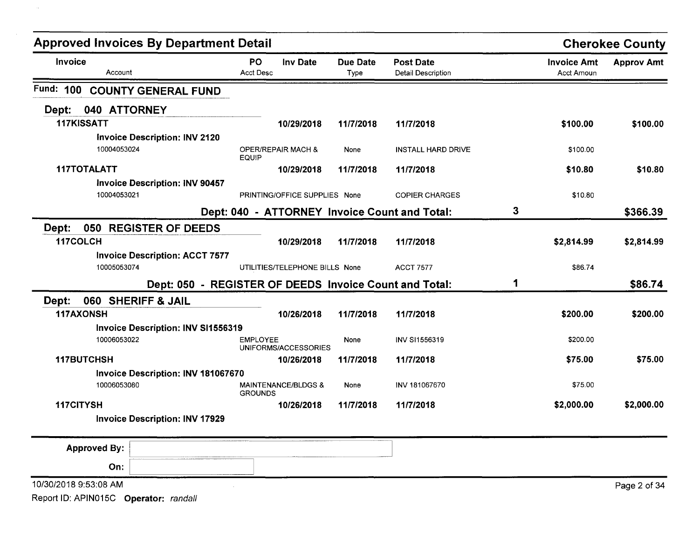| <b>Approved Invoices By Department Detail</b>        |                                                        |                         |                                               |   |                                  | <b>Cherokee County</b> |
|------------------------------------------------------|--------------------------------------------------------|-------------------------|-----------------------------------------------|---|----------------------------------|------------------------|
| Invoice<br>Account                                   | <b>PO</b><br><b>Inv Date</b><br><b>Acct Desc</b>       | <b>Due Date</b><br>Type | <b>Post Date</b><br><b>Detail Description</b> |   | <b>Invoice Amt</b><br>Acct Amoun | <b>Approv Amt</b>      |
| Fund:<br>100<br><b>COUNTY GENERAL FUND</b>           |                                                        |                         |                                               |   |                                  |                        |
| 040 ATTORNEY<br>Dept:                                |                                                        |                         |                                               |   |                                  |                        |
| 117KISSATT                                           | 10/29/2018                                             | 11/7/2018               | 11/7/2018                                     |   | \$100.00                         | \$100.00               |
| <b>Invoice Description: INV 2120</b>                 |                                                        |                         |                                               |   |                                  |                        |
| 10004053024                                          | OPER/REPAIR MACH &<br><b>EQUIP</b>                     | None                    | <b>INSTALL HARD DRIVE</b>                     |   | \$100.00                         |                        |
| 117TOTALATT                                          | 10/29/2018                                             | 11/7/2018               | 11/7/2018                                     |   | \$10.80                          | \$10.80                |
| <b>Invoice Description: INV 90457</b><br>10004053021 | PRINTING/OFFICE SUPPLIES None                          |                         | <b>COPIER CHARGES</b>                         |   | \$10.80                          |                        |
|                                                      | Dept: 040 - ATTORNEY Invoice Count and Total:          |                         |                                               | 3 |                                  | \$366.39               |
| 050<br>Dept:<br><b>REGISTER OF DEEDS</b>             |                                                        |                         |                                               |   |                                  |                        |
| 117COLCH                                             | 10/29/2018                                             | 11/7/2018               | 11/7/2018                                     |   | \$2,814.99                       | \$2,814.99             |
| <b>Invoice Description: ACCT 7577</b>                |                                                        |                         |                                               |   |                                  |                        |
| 10005053074                                          | UTILITIES/TELEPHONE BILLS None                         |                         | <b>ACCT 7577</b>                              |   | \$86.74                          |                        |
|                                                      | Dept: 050 - REGISTER OF DEEDS Invoice Count and Total: |                         |                                               | 1 |                                  | \$86.74                |
| 060 SHERIFF & JAIL<br>Dept:                          |                                                        |                         |                                               |   |                                  |                        |
| <b>117AXONSH</b>                                     | 10/26/2018                                             | 11/7/2018               | 11/7/2018                                     |   | \$200.00                         | \$200.00               |
| <b>Invoice Description: INV SI1556319</b>            |                                                        |                         |                                               |   |                                  |                        |
| 10006053022                                          | <b>EMPLOYEE</b><br>UNIFORMS/ACCESSORIES                | None                    | INV SI1556319                                 |   | \$200.00                         |                        |
| 117BUTCHSH                                           | 10/26/2018                                             | 11/7/2018               | 11/7/2018                                     |   | \$75.00                          | \$75.00                |
| Invoice Description: INV 181067670                   |                                                        |                         |                                               |   |                                  |                        |
| 10006053080                                          | <b>MAINTENANCE/BLDGS &amp;</b><br><b>GROUNDS</b>       | None                    | INV 181067670                                 |   | \$75.00                          |                        |
| 117CITYSH                                            | 10/26/2018                                             | 11/7/2018               | 11/7/2018                                     |   | \$2,000.00                       | \$2,000.00             |
| <b>Invoice Description: INV 17929</b>                |                                                        |                         |                                               |   |                                  |                        |
| <b>Approved By:</b>                                  |                                                        |                         |                                               |   |                                  |                        |
| On:                                                  |                                                        |                         |                                               |   |                                  |                        |
| 10/30/2018 9:53:08 AM                                |                                                        |                         |                                               |   |                                  | Page 2 of 34           |
| Report ID: APIN015C Operator: randall                |                                                        |                         |                                               |   |                                  |                        |

 $\sim$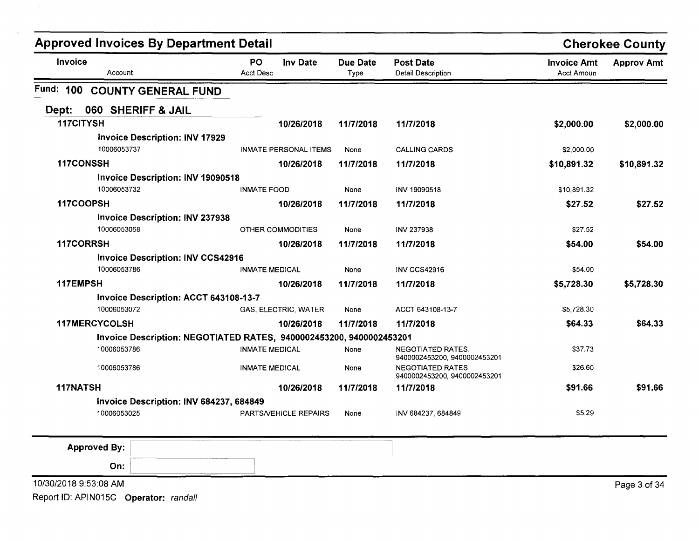| <b>Approved Invoices By Department Detail</b> |                                          |                                                                     |                         |                                                          |                                         | <b>Cherokee County</b> |
|-----------------------------------------------|------------------------------------------|---------------------------------------------------------------------|-------------------------|----------------------------------------------------------|-----------------------------------------|------------------------|
| Invoice                                       | Account                                  | PO<br><b>Inv Date</b><br><b>Acct Desc</b>                           | <b>Due Date</b><br>Type | <b>Post Date</b><br><b>Detail Description</b>            | <b>Invoice Amt</b><br><b>Acct Amoun</b> | <b>Approv Amt</b>      |
| Fund: 100                                     | <b>COUNTY GENERAL FUND</b>               |                                                                     |                         |                                                          |                                         |                        |
| Dept:                                         | 060 SHERIFF & JAIL                       |                                                                     |                         |                                                          |                                         |                        |
| 117CITYSH                                     |                                          | 10/26/2018                                                          | 11/7/2018               | 11/7/2018                                                | \$2,000.00                              | \$2,000.00             |
|                                               | <b>Invoice Description: INV 17929</b>    |                                                                     |                         |                                                          |                                         |                        |
|                                               | 10006053737                              | <b>INMATE PERSONAL ITEMS</b>                                        | None                    | <b>CALLING CARDS</b>                                     | \$2,000.00                              |                        |
| 117CONSSH                                     |                                          | 10/26/2018                                                          | 11/7/2018               | 11/7/2018                                                | \$10,891.32                             | \$10,891.32            |
|                                               | <b>Invoice Description: INV 19090518</b> |                                                                     |                         |                                                          |                                         |                        |
|                                               | 10006053732                              | <b>INMATE FOOD</b>                                                  | None                    | INV 19090518                                             | \$10,891.32                             |                        |
| 117COOPSH                                     |                                          | 10/26/2018                                                          | 11/7/2018               | 11/7/2018                                                | \$27.52                                 | \$27.52                |
|                                               | <b>Invoice Description: INV 237938</b>   |                                                                     |                         |                                                          |                                         |                        |
|                                               | 10006053068                              | OTHER COMMODITIES                                                   | None                    | <b>INV 237938</b>                                        | \$27.52                                 |                        |
| 117CORRSH                                     |                                          | 10/26/2018                                                          | 11/7/2018               | 11/7/2018                                                | \$54.00                                 | \$54.00                |
|                                               | <b>Invoice Description: INV CCS42916</b> |                                                                     |                         |                                                          |                                         |                        |
|                                               | 10006053786                              | <b>INMATE MEDICAL</b>                                               | None                    | <b>INV CCS42916</b>                                      | \$54.00                                 |                        |
| 117EMPSH                                      |                                          | 10/26/2018                                                          | 11/7/2018               | 11/7/2018                                                | \$5,728.30                              | \$5,728.30             |
|                                               | Invoice Description: ACCT 643108-13-7    |                                                                     |                         |                                                          |                                         |                        |
|                                               | 10006053072                              | GAS, ELECTRIC, WATER                                                | None                    | ACCT 643108-13-7                                         | \$5,728.30                              |                        |
| <b>117MERCYCOLSH</b>                          |                                          | 10/26/2018                                                          | 11/7/2018               | 11/7/2018                                                | \$64.33                                 | \$64.33                |
|                                               |                                          | Invoice Description: NEGOTIATED RATES, 9400002453200, 9400002453201 |                         |                                                          |                                         |                        |
|                                               | 10006053786                              | <b>INMATE MEDICAL</b>                                               | None                    | <b>NEGOTIATED RATES.</b><br>9400002453200, 9400002453201 | \$37.73                                 |                        |
|                                               | 10006053786                              | <b>INMATE MEDICAL</b>                                               | None                    | <b>NEGOTIATED RATES,</b><br>9400002453200, 9400002453201 | \$26.60                                 |                        |
| 117NATSH                                      |                                          | 10/26/2018                                                          | 11/7/2018               | 11/7/2018                                                | \$91.66                                 | \$91.66                |
|                                               | Invoice Description: INV 684237, 684849  |                                                                     |                         |                                                          |                                         |                        |
|                                               | 10006053025                              | PARTS/VEHICLE REPAIRS                                               | None                    | INV 684237, 684849                                       | \$5.29                                  |                        |

| <b>Approved By:</b>   | ____________<br>___<br>-------<br>processing and the contract of |
|-----------------------|------------------------------------------------------------------|
| On:                   |                                                                  |
| 10/30/2018 9:53:08 AM |                                                                  |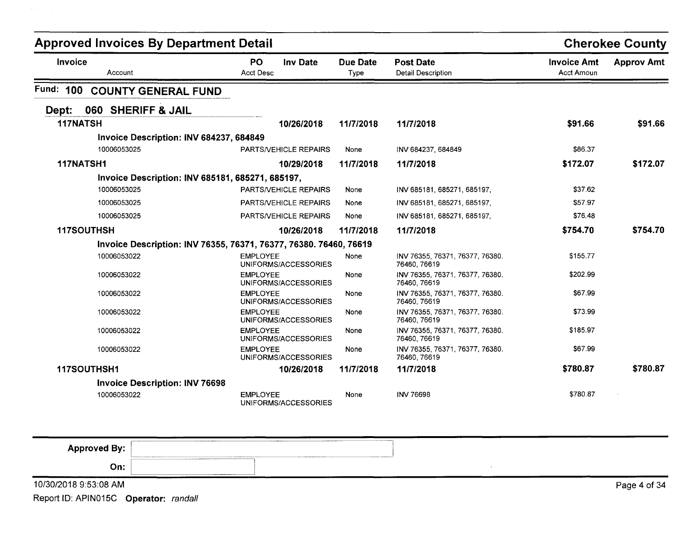| <b>Approved Invoices By Department Detail</b> |                                                                   |                                                  |                  |                                                 |                                         | <b>Cherokee County</b> |
|-----------------------------------------------|-------------------------------------------------------------------|--------------------------------------------------|------------------|-------------------------------------------------|-----------------------------------------|------------------------|
| <b>Invoice</b>                                | Account                                                           | <b>PO</b><br><b>Inv Date</b><br><b>Acct Desc</b> | Due Date<br>Type | <b>Post Date</b><br><b>Detail Description</b>   | <b>Invoice Amt</b><br><b>Acct Amoun</b> | <b>Approv Amt</b>      |
| Fund: 100                                     | <b>COUNTY GENERAL FUND</b>                                        |                                                  |                  |                                                 |                                         |                        |
| Dept:                                         | 060 SHERIFF & JAIL                                                |                                                  |                  |                                                 |                                         |                        |
| 117NATSH                                      |                                                                   | 10/26/2018                                       | 11/7/2018        | 11/7/2018                                       | \$91.66                                 | \$91.66                |
|                                               | Invoice Description: INV 684237, 684849                           |                                                  |                  |                                                 |                                         |                        |
|                                               | 10006053025                                                       | PARTS/VEHICLE REPAIRS                            | None             | INV 684237, 684849                              | \$86.37                                 |                        |
| 117NATSH1                                     |                                                                   | 10/29/2018                                       | 11/7/2018        | 11/7/2018                                       | \$172.07                                | \$172.07               |
|                                               | Invoice Description: INV 685181, 685271, 685197,                  |                                                  |                  |                                                 |                                         |                        |
|                                               | 10006053025                                                       | <b>PARTS/VEHICLE REPAIRS</b>                     | None             | INV 685181, 685271, 685197,                     | \$37.62                                 |                        |
|                                               | 10006053025                                                       | <b>PARTS/VEHICLE REPAIRS</b>                     | None             | INV 685181, 685271, 685197,                     | \$57.97                                 |                        |
|                                               | 10006053025                                                       | <b>PARTS/VEHICLE REPAIRS</b>                     | None             | INV 685181, 685271, 685197,                     | \$76.48                                 |                        |
| 117SOUTHSH                                    |                                                                   | 10/26/2018                                       | 11/7/2018        | 11/7/2018                                       | \$754.70                                | \$754.70               |
|                                               | Invoice Description: INV 76355, 76371, 76377, 76380. 76460, 76619 |                                                  |                  |                                                 |                                         |                        |
|                                               | 10006053022                                                       | <b>EMPLOYEE</b><br>UNIFORMS/ACCESSORIES          | None             | INV 76355, 76371, 76377, 76380.<br>76460, 76619 | \$155.77                                |                        |
|                                               | 10006053022                                                       | <b>EMPLOYEE</b><br>UNIFORMS/ACCESSORIES          | None             | INV 76355, 76371, 76377, 76380.<br>76460, 76619 | \$202.99                                |                        |
|                                               | 10006053022                                                       | <b>EMPLOYEE</b><br>UNIFORMS/ACCESSORIES          | None             | INV 76355, 76371, 76377, 76380.<br>76460, 76619 | \$67.99                                 |                        |
|                                               | 10006053022                                                       | <b>EMPLOYEE</b><br>UNIFORMS/ACCESSORIES          | None             | INV 76355, 76371, 76377, 76380.<br>76460, 76619 | \$73.99                                 |                        |
|                                               | 10006053022                                                       | <b>EMPLOYEE</b><br>UNIFORMS/ACCESSORIES          | None             | INV 76355, 76371, 76377, 76380.<br>76460, 76619 | \$185.97                                |                        |
|                                               | 10006053022                                                       | <b>EMPLOYEE</b><br>UNIFORMS/ACCESSORIES          | None             | INV 76355, 76371, 76377, 76380.<br>76460, 76619 | \$67.99                                 |                        |
| 117SOUTHSH1                                   |                                                                   | 10/26/2018                                       | 11/7/2018        | 11/7/2018                                       | \$780.87                                | \$780.87               |
|                                               | <b>Invoice Description: INV 76698</b>                             |                                                  |                  |                                                 |                                         |                        |
|                                               | 10006053022                                                       | <b>EMPLOYEE</b><br>UNIFORMS/ACCESSORIES          | None             | <b>INV 76698</b>                                | \$780.87                                |                        |

| <b>Approved By:</b><br>Property of the second and | <b>CONTRACTOR COMPANY IN THE CONTRACTOR COMPANY</b> | _________________<br><b><i><u><u>ALCOHOL BERTH PERSON</u></u></i></b> |  |              |
|---------------------------------------------------|-----------------------------------------------------|-----------------------------------------------------------------------|--|--------------|
| On:                                               | ______________________________                      |                                                                       |  |              |
| 10/30/2018 9:53:08 AM                             |                                                     |                                                                       |  | Page 4 of 34 |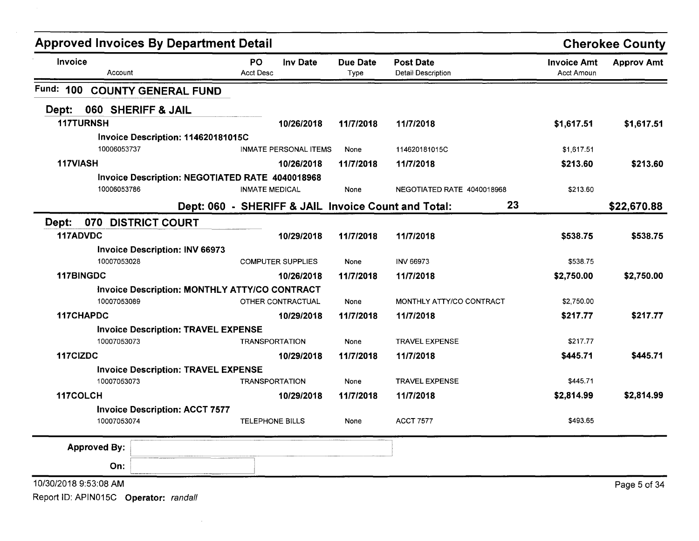| <b>Approved Invoices By Department Detail</b>   |                                                     |                         |                                               |                                         | <b>Cherokee County</b> |
|-------------------------------------------------|-----------------------------------------------------|-------------------------|-----------------------------------------------|-----------------------------------------|------------------------|
| Invoice<br>Account                              | <b>Inv Date</b><br>PO<br>Acct Desc                  | <b>Due Date</b><br>Type | <b>Post Date</b><br><b>Detail Description</b> | <b>Invoice Amt</b><br><b>Acct Amoun</b> | <b>Approv Amt</b>      |
| <b>Fund: 100</b><br><b>COUNTY GENERAL FUND</b>  |                                                     |                         |                                               |                                         |                        |
| 060 SHERIFF & JAIL<br>Dept:                     |                                                     |                         |                                               |                                         |                        |
| <b>117TURNSH</b>                                | 10/26/2018                                          | 11/7/2018               | 11/7/2018                                     | \$1,617.51                              | \$1,617.51             |
| Invoice Description: 114620181015C              |                                                     |                         |                                               |                                         |                        |
| 10006053737                                     | <b>INMATE PERSONAL ITEMS</b>                        | None                    | 114620181015C                                 | \$1,617.51                              |                        |
| 117VIASH                                        | 10/26/2018                                          | 11/7/2018               | 11/7/2018                                     | \$213.60                                | \$213.60               |
| Invoice Description: NEGOTIATED RATE 4040018968 |                                                     |                         |                                               |                                         |                        |
| 10006053786                                     | <b>INMATE MEDICAL</b>                               | None                    | NEGOTIATED RATE 4040018968                    | \$213.60                                |                        |
|                                                 | Dept: 060 - SHERIFF & JAIL Invoice Count and Total: |                         | 23                                            |                                         | \$22,670.88            |
| 070<br>Dept:<br><b>DISTRICT COURT</b>           |                                                     |                         |                                               |                                         |                        |
| 117ADVDC                                        | 10/29/2018                                          | 11/7/2018               | 11/7/2018                                     | \$538.75                                | \$538.75               |
| <b>Invoice Description: INV 66973</b>           |                                                     |                         |                                               |                                         |                        |
| 10007053028                                     | <b>COMPUTER SUPPLIES</b>                            | None                    | <b>INV 66973</b>                              | \$538.75                                |                        |
| 117BINGDC                                       | 10/26/2018                                          | 11/7/2018               | 11/7/2018                                     | \$2,750.00                              | \$2,750.00             |
| Invoice Description: MONTHLY ATTY/CO CONTRACT   |                                                     |                         |                                               |                                         |                        |
| 10007053089                                     | OTHER CONTRACTUAL                                   | None                    | MONTHLY ATTY/CO CONTRACT                      | \$2,750.00                              |                        |
| 117CHAPDC                                       | 10/29/2018                                          | 11/7/2018               | 11/7/2018                                     | \$217.77                                | \$217.77               |
| <b>Invoice Description: TRAVEL EXPENSE</b>      |                                                     |                         |                                               |                                         |                        |
| 10007053073                                     | <b>TRANSPORTATION</b>                               | None                    | <b>TRAVEL EXPENSE</b>                         | \$217.77                                |                        |
| 117CIZDC                                        | 10/29/2018                                          | 11/7/2018               | 11/7/2018                                     | \$445.71                                | \$445.71               |
| <b>Invoice Description: TRAVEL EXPENSE</b>      |                                                     |                         |                                               |                                         |                        |
| 10007053073                                     | <b>TRANSPORTATION</b>                               | None                    | <b>TRAVEL EXPENSE</b>                         | \$445.71                                |                        |
| 117COLCH                                        | 10/29/2018                                          | 11/7/2018               | 11/7/2018                                     | \$2,814.99                              | \$2,814.99             |
| <b>Invoice Description: ACCT 7577</b>           |                                                     |                         | <b>ACCT 7577</b>                              | \$493.65                                |                        |
| 10007053074                                     | <b>TELEPHONE BILLS</b>                              | None                    |                                               |                                         |                        |
| <b>Approved By:</b>                             |                                                     |                         |                                               |                                         |                        |
| On:                                             |                                                     |                         |                                               |                                         |                        |
| 10/30/2018 9:53:08 AM                           |                                                     |                         |                                               |                                         | Page 5 of 34           |
| Report ID: APIN015C Operator: randall           |                                                     |                         |                                               |                                         |                        |

 $\mathcal{L}(\mathcal{L}^{\mathcal{L}})$  and  $\mathcal{L}^{\mathcal{L}}$  are the set of the set of  $\mathcal{L}^{\mathcal{L}}$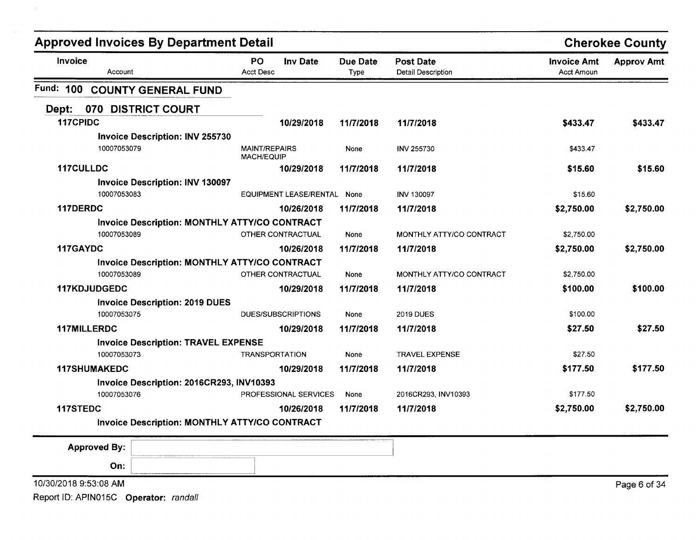|                     | <b>Approved Invoices By Department Detail</b>         |                                                      |                         |                                               |                                         | <b>Cherokee County</b> |
|---------------------|-------------------------------------------------------|------------------------------------------------------|-------------------------|-----------------------------------------------|-----------------------------------------|------------------------|
| Invoice             | Account                                               | PO<br><b>Inv Date</b><br><b>Acct Desc</b>            | <b>Due Date</b><br>Type | <b>Post Date</b><br><b>Detail Description</b> | <b>Invoice Amt</b><br><b>Acct Amoun</b> | <b>Approv Amt</b>      |
|                     | Fund: 100 COUNTY GENERAL FUND                         |                                                      |                         |                                               |                                         |                        |
| Dept:               | 070 DISTRICT COURT                                    |                                                      |                         |                                               |                                         |                        |
| 117CPIDC            |                                                       | 10/29/2018                                           | 11/7/2018               | 11/7/2018                                     | \$433.47                                | \$433.47               |
|                     | <b>Invoice Description: INV 255730</b>                |                                                      |                         |                                               |                                         |                        |
|                     | 10007053079                                           | <b>MAINT/REPAIRS</b><br><b>MACH/EQUIP</b>            | None                    | <b>INV 255730</b>                             | \$433.47                                |                        |
| 117CULLDC           |                                                       | 10/29/2018                                           | 11/7/2018               | 11/7/2018                                     | \$15.60                                 | \$15.60                |
|                     | <b>Invoice Description: INV 130097</b><br>10007053083 | EQUIPMENT LEASE/RENTAL None                          |                         | <b>INV 130097</b>                             | \$15.60                                 |                        |
| 117DERDC            |                                                       | 10/26/2018                                           | 11/7/2018               | 11/7/2018                                     | \$2,750.00                              | \$2,750.00             |
|                     |                                                       | Invoice Description: MONTHLY ATTY/CO CONTRACT        |                         |                                               |                                         |                        |
|                     | 10007053089                                           | OTHER CONTRACTUAL                                    | None                    | MONTHLY ATTY/CO CONTRACT                      | \$2,750.00                              |                        |
| 117GAYDC            |                                                       | 10/26/2018                                           | 11/7/2018               | 11/7/2018                                     | \$2,750.00                              | \$2,750.00             |
|                     |                                                       | <b>Invoice Description: MONTHLY ATTY/CO CONTRACT</b> |                         |                                               |                                         |                        |
|                     | 10007053089                                           | OTHER CONTRACTUAL                                    | None                    | MONTHLY ATTY/CO CONTRACT                      | \$2,750.00                              |                        |
| 117KDJUDGEDC        |                                                       | 10/29/2018                                           | 11/7/2018               | 11/7/2018                                     | \$100.00                                | \$100.00               |
|                     | <b>Invoice Description: 2019 DUES</b>                 |                                                      |                         |                                               |                                         |                        |
|                     | 10007053075                                           | DUES/SUBSCRIPTIONS                                   | None                    | <b>2019 DUES</b>                              | \$100.00                                |                        |
| <b>117MILLERDC</b>  |                                                       | 10/29/2018                                           | 11/7/2018               | 11/7/2018                                     | \$27.50                                 | \$27.50                |
|                     | <b>Invoice Description: TRAVEL EXPENSE</b>            |                                                      |                         |                                               |                                         |                        |
|                     | 10007053073                                           | <b>TRANSPORTATION</b>                                | None                    | <b>TRAVEL EXPENSE</b>                         | \$27.50                                 |                        |
| <b>117SHUMAKEDC</b> |                                                       | 10/29/2018                                           | 11/7/2018               | 11/7/2018                                     | \$177.50                                | \$177.50               |
|                     | Invoice Description: 2016CR293, INV10393              |                                                      |                         |                                               |                                         |                        |
|                     | 10007053076                                           | PROFESSIONAL SERVICES                                | None                    | 2016CR293, INV10393                           | \$177.50                                |                        |
| 117STEDC            |                                                       | 10/26/2018                                           | 11/7/2018               | 11/7/2018                                     | \$2,750.00                              | \$2,750.00             |
|                     |                                                       | Invoice Description: MONTHLY ATTY/CO CONTRACT        |                         |                                               |                                         |                        |
| <b>Approved By:</b> |                                                       |                                                      |                         |                                               |                                         |                        |
|                     | On:                                                   |                                                      |                         |                                               |                                         |                        |
|                     |                                                       |                                                      |                         |                                               |                                         |                        |

10/30/20189:53:08 AM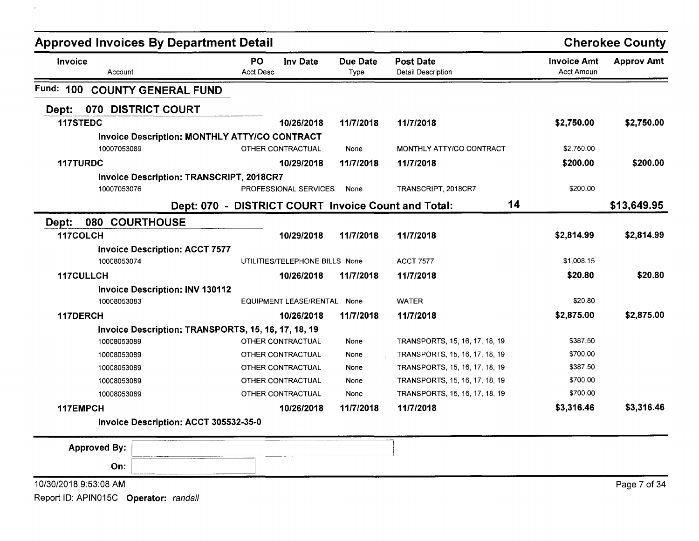| <b>Approved Invoices By Department Detail</b> |                                                      |                               |                                |                         |                                        |                                  | <b>Cherokee County</b> |
|-----------------------------------------------|------------------------------------------------------|-------------------------------|--------------------------------|-------------------------|----------------------------------------|----------------------------------|------------------------|
| Invoice<br>Account                            |                                                      | <b>PO</b><br><b>Acct Desc</b> | Inv Date                       | <b>Due Date</b><br>Type | <b>Post Date</b><br>Detail Description | <b>Invoice Amt</b><br>Acct Amoun | <b>Approv Amt</b>      |
| Fund: 100                                     | <b>COUNTY GENERAL FUND</b>                           |                               |                                |                         |                                        |                                  |                        |
| 070<br>Dept:                                  | <b>DISTRICT COURT</b>                                |                               |                                |                         |                                        |                                  |                        |
| 117STEDC                                      |                                                      |                               | 10/26/2018                     | 11/7/2018               | 11/7/2018                              | \$2,750.00                       | \$2,750.00             |
|                                               | <b>Invoice Description: MONTHLY ATTY/CO CONTRACT</b> |                               |                                |                         |                                        |                                  |                        |
| 10007053089                                   |                                                      |                               | OTHER CONTRACTUAL              | None                    | MONTHLY ATTY/CO CONTRACT               | \$2,750.00                       |                        |
| 117TURDC                                      |                                                      |                               | 10/29/2018                     | 11/7/2018               | 11/7/2018                              | \$200.00                         | \$200.00               |
|                                               | <b>Invoice Description: TRANSCRIPT, 2018CR7</b>      |                               |                                |                         |                                        |                                  |                        |
| 10007053076                                   |                                                      |                               | PROFESSIONAL SERVICES          | None                    | TRANSCRIPT, 2018CR7                    | \$200.00                         |                        |
|                                               | Dept: 070 - DISTRICT COURT Invoice Count and Total:  |                               |                                |                         | 14                                     |                                  | \$13,649.95            |
| 080 COURTHOUSE<br>Dept:                       |                                                      |                               |                                |                         |                                        |                                  |                        |
| 117COLCH                                      |                                                      |                               | 10/29/2018                     | 11/7/2018               | 11/7/2018                              | \$2,814.99                       | \$2,814.99             |
|                                               | <b>Invoice Description: ACCT 7577</b>                |                               |                                |                         |                                        |                                  |                        |
| 10008053074                                   |                                                      |                               | UTILITIES/TELEPHONE BILLS None |                         | <b>ACCT 7577</b>                       | \$1,008.15                       |                        |
| 117CULLCH                                     |                                                      |                               | 10/26/2018                     | 11/7/2018               | 11/7/2018                              | \$20.80                          | \$20.80                |
|                                               | <b>Invoice Description: INV 130112</b>               |                               |                                |                         |                                        |                                  |                        |
| 10008053083                                   |                                                      |                               | EQUIPMENT LEASE/RENTAL None    |                         | <b>WATER</b>                           | \$20.80                          |                        |
| 117DERCH                                      |                                                      |                               | 10/26/2018                     | 11/7/2018               | 11/7/2018                              | \$2,875.00                       | \$2,875.00             |
|                                               | Invoice Description: TRANSPORTS, 15, 16, 17, 18, 19  |                               |                                |                         |                                        |                                  |                        |
| 10008053089                                   |                                                      |                               | OTHER CONTRACTUAL              | None                    | TRANSPORTS, 15, 16, 17, 18, 19         | \$387.50                         |                        |
| 10008053089                                   |                                                      |                               | OTHER CONTRACTUAL              | None                    | TRANSPORTS, 15, 16, 17, 18, 19         | \$700.00                         |                        |
| 10008053089                                   |                                                      |                               | OTHER CONTRACTUAL              | None                    | TRANSPORTS, 15, 16, 17, 18, 19         | \$387.50                         |                        |
| 10008053089                                   |                                                      |                               | OTHER CONTRACTUAL              | None                    | TRANSPORTS, 15, 16, 17, 18, 19         | \$700.00                         |                        |
| 10008053089                                   |                                                      |                               | OTHER CONTRACTUAL              | None                    | TRANSPORTS, 15, 16, 17, 18, 19         | \$700.00                         |                        |
| 117EMPCH                                      |                                                      |                               | 10/26/2018                     | 11/7/2018               | 11/7/2018                              | \$3,316.46                       | \$3,316.46             |
|                                               | Invoice Description: ACCT 305532-35-0                |                               |                                |                         |                                        |                                  |                        |
| <b>Approved By:</b>                           |                                                      |                               |                                |                         |                                        |                                  |                        |
| On:                                           |                                                      |                               |                                |                         |                                        |                                  |                        |
| 10/30/2018 9:53:08 AM                         |                                                      |                               |                                |                         |                                        |                                  | Page 7 of 34           |
| Report ID: APIN015C Operator: randall         |                                                      |                               |                                |                         |                                        |                                  |                        |

 $\sim 10^{-1}$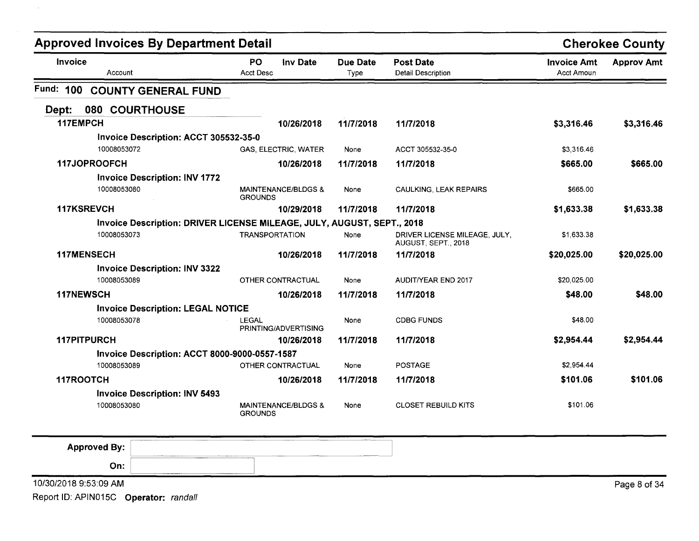| <b>Approved Invoices By Department Detail</b>                          |                                                  |                         |                                                      | <b>Cherokee County</b>                  |                   |
|------------------------------------------------------------------------|--------------------------------------------------|-------------------------|------------------------------------------------------|-----------------------------------------|-------------------|
| Invoice<br>Account                                                     | PO<br><b>Inv Date</b><br><b>Acct Desc</b>        | <b>Due Date</b><br>Type | <b>Post Date</b><br><b>Detail Description</b>        | <b>Invoice Amt</b><br><b>Acct Amoun</b> | <b>Approv Amt</b> |
| Fund: 100 COUNTY GENERAL FUND                                          |                                                  |                         |                                                      |                                         |                   |
| 080 COURTHOUSE<br>Dept:                                                |                                                  |                         |                                                      |                                         |                   |
| 117EMPCH                                                               | 10/26/2018                                       | 11/7/2018               | 11/7/2018                                            | \$3,316.46                              | \$3,316.46        |
| Invoice Description: ACCT 305532-35-0                                  |                                                  |                         |                                                      |                                         |                   |
| 10008053072                                                            | <b>GAS, ELECTRIC, WATER</b>                      | None                    | ACCT 305532-35-0                                     | \$3,316.46                              |                   |
| 117JOPROOFCH                                                           | 10/26/2018                                       | 11/7/2018               | 11/7/2018                                            | \$665.00                                | \$665.00          |
| <b>Invoice Description: INV 1772</b>                                   |                                                  |                         |                                                      |                                         |                   |
| 10008053080                                                            | <b>MAINTENANCE/BLDGS &amp;</b><br><b>GROUNDS</b> | None                    | CAULKING, LEAK REPAIRS                               | \$665.00                                |                   |
| 117KSREVCH                                                             | 10/29/2018                                       | 11/7/2018               | 11/7/2018                                            | \$1,633.38                              | \$1,633.38        |
| Invoice Description: DRIVER LICENSE MILEAGE, JULY, AUGUST, SEPT., 2018 |                                                  |                         |                                                      |                                         |                   |
| 10008053073                                                            | <b>TRANSPORTATION</b>                            | None                    | DRIVER LICENSE MILEAGE, JULY,<br>AUGUST, SEPT., 2018 | \$1,633.38                              |                   |
| 117MENSECH                                                             | 10/26/2018                                       | 11/7/2018               | 11/7/2018                                            | \$20,025.00                             | \$20,025.00       |
| <b>Invoice Description: INV 3322</b>                                   |                                                  |                         |                                                      |                                         |                   |
| 10008053089                                                            | OTHER CONTRACTUAL                                | None                    | AUDIT/YEAR END 2017                                  | \$20,025.00                             |                   |
| <b>117NEWSCH</b>                                                       | 10/26/2018                                       | 11/7/2018               | 11/7/2018                                            | \$48.00                                 | \$48.00           |
| <b>Invoice Description: LEGAL NOTICE</b>                               |                                                  |                         |                                                      |                                         |                   |
| 10008053078                                                            | <b>LEGAL</b><br>PRINTING/ADVERTISING             | None                    | <b>CDBG FUNDS</b>                                    | \$48.00                                 |                   |
| 117PITPURCH                                                            | 10/26/2018                                       | 11/7/2018               | 11/7/2018                                            | \$2,954.44                              | \$2,954.44        |
| Invoice Description: ACCT 8000-9000-0557-1587                          |                                                  |                         |                                                      |                                         |                   |
| 10008053089                                                            | OTHER CONTRACTUAL                                | None                    | <b>POSTAGE</b>                                       | \$2.954.44                              |                   |
| 117ROOTCH                                                              | 10/26/2018                                       | 11/7/2018               | 11/7/2018                                            | \$101.06                                | \$101.06          |
| <b>Invoice Description: INV 5493</b>                                   |                                                  |                         |                                                      |                                         |                   |
| 10008053080                                                            | <b>MAINTENANCE/BLDGS &amp;</b><br><b>GROUNDS</b> | None                    | <b>CLOSET REBUILD KITS</b>                           | \$101.06                                |                   |
| <b>Approved By:</b>                                                    |                                                  |                         |                                                      |                                         |                   |
| On:                                                                    |                                                  |                         |                                                      |                                         |                   |

10/30/20189:53:09 AM

 $\bar{\lambda}$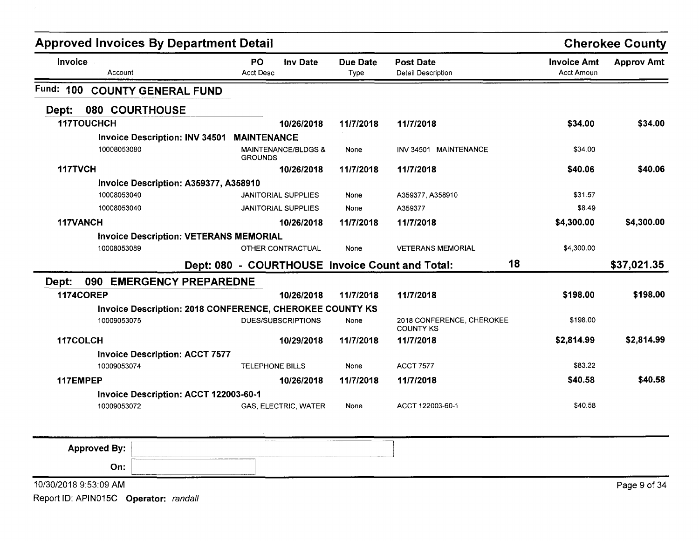|                  | <b>Approved Invoices By Department Detail</b>            |                                                  |                         |                                               |                                         | <b>Cherokee County</b> |
|------------------|----------------------------------------------------------|--------------------------------------------------|-------------------------|-----------------------------------------------|-----------------------------------------|------------------------|
| Invoice          | Account                                                  | <b>PO</b><br><b>Inv Date</b><br><b>Acct Desc</b> | <b>Due Date</b><br>Type | <b>Post Date</b><br><b>Detail Description</b> | <b>Invoice Amt</b><br><b>Acct Amoun</b> | <b>Approv Amt</b>      |
| Fund: 100        | <b>COUNTY GENERAL FUND</b>                               |                                                  |                         |                                               |                                         |                        |
| Dept:            | 080 COURTHOUSE                                           |                                                  |                         |                                               |                                         |                        |
|                  | <b>117TOUCHCH</b>                                        | 10/26/2018                                       | 11/7/2018               | 11/7/2018                                     | \$34.00                                 | \$34.00                |
|                  | <b>Invoice Description: INV 34501</b>                    | <b>MAINTENANCE</b>                               |                         |                                               |                                         |                        |
|                  | 10008053080                                              | MAINTENANCE/BLDGS &<br><b>GROUNDS</b>            | None                    | INV 34501 MAINTENANCE                         | \$34.00                                 |                        |
| 117TVCH          |                                                          | 10/26/2018                                       | 11/7/2018               | 11/7/2018                                     | \$40.06                                 | \$40.06                |
|                  | Invoice Description: A359377, A358910                    |                                                  |                         |                                               |                                         |                        |
|                  | 10008053040                                              | <b>JANITORIAL SUPPLIES</b>                       | None                    | A359377, A358910                              | \$31.57                                 |                        |
|                  | 10008053040                                              | <b>JANITORIAL SUPPLIES</b>                       | None                    | A359377                                       | \$8.49                                  |                        |
| 117VANCH         |                                                          | 10/26/2018                                       | 11/7/2018               | 11/7/2018                                     | \$4,300.00                              | \$4,300.00             |
|                  | <b>Invoice Description: VETERANS MEMORIAL</b>            |                                                  |                         |                                               |                                         |                        |
|                  | 10008053089                                              | OTHER CONTRACTUAL                                | None                    | <b>VETERANS MEMORIAL</b>                      | \$4,300.00                              |                        |
|                  |                                                          | Dept: 080 - COURTHOUSE Invoice Count and Total:  |                         | 18                                            |                                         | \$37,021.35            |
| Dept:            | 090<br><b>EMERGENCY PREPAREDNE</b>                       |                                                  |                         |                                               |                                         |                        |
| <b>1174COREP</b> |                                                          | 10/26/2018                                       | 11/7/2018               | 11/7/2018                                     | \$198.00                                | \$198.00               |
|                  | Invoice Description: 2018 CONFERENCE, CHEROKEE COUNTY KS |                                                  |                         |                                               |                                         |                        |
|                  | 10009053075                                              | <b>DUES/SUBSCRIPTIONS</b>                        | None                    | 2018 CONFERENCE, CHEROKEE<br><b>COUNTY KS</b> | \$198.00                                |                        |
| 117COLCH         |                                                          | 10/29/2018                                       | 11/7/2018               | 11/7/2018                                     | \$2,814.99                              | \$2,814.99             |
|                  | <b>Invoice Description: ACCT 7577</b>                    |                                                  |                         |                                               |                                         |                        |
|                  | 10009053074                                              | <b>TELEPHONE BILLS</b>                           | None                    | <b>ACCT 7577</b>                              | \$83.22                                 |                        |
| 117EMPEP         |                                                          | 10/26/2018                                       | 11/7/2018               | 11/7/2018                                     | \$40.58                                 | \$40.58                |
|                  | Invoice Description: ACCT 122003-60-1                    |                                                  |                         |                                               |                                         |                        |
|                  | 10009053072                                              | GAS, ELECTRIC, WATER                             | None                    | ACCT 122003-60-1                              | \$40.58                                 |                        |

| <b>Approved By:</b>   | The content three controls and the component content of the                                                                                                                                                                          | _________________<br>___________ |  |              |
|-----------------------|--------------------------------------------------------------------------------------------------------------------------------------------------------------------------------------------------------------------------------------|----------------------------------|--|--------------|
| On:                   | <b>Sense proven to a proven to a proven to a proven to the contract of the contract of the contract of the contract of the contract of the contract of the contract of the contract of the contract of the contract of the contr</b> |                                  |  |              |
| 10/30/2018 9:53:09 AM |                                                                                                                                                                                                                                      |                                  |  | Page 9 of 34 |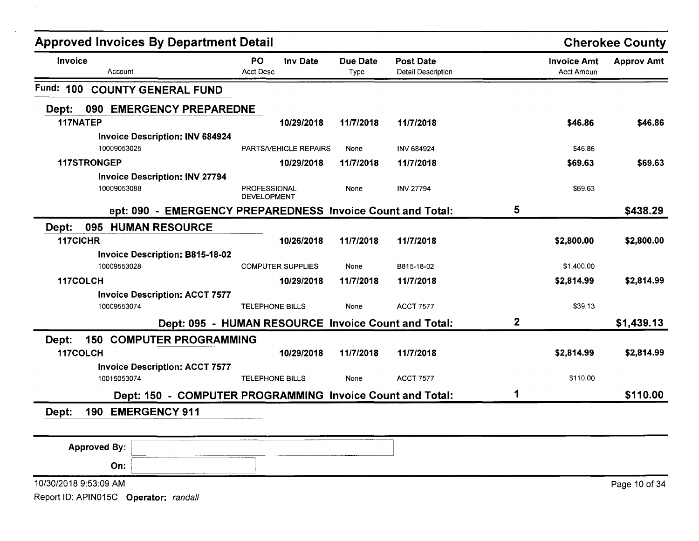|                       | <b>Approved Invoices By Department Detail</b>              |                                    |                          |                         |                                               |             |                                         | <b>Cherokee County</b> |
|-----------------------|------------------------------------------------------------|------------------------------------|--------------------------|-------------------------|-----------------------------------------------|-------------|-----------------------------------------|------------------------|
| Invoice<br>Account    |                                                            | <b>PO</b><br><b>Acct Desc</b>      | Inv Date                 | <b>Due Date</b><br>Type | <b>Post Date</b><br><b>Detail Description</b> |             | <b>Invoice Amt</b><br><b>Acct Amoun</b> | <b>Approv Amt</b>      |
| Fund: 100             | <b>COUNTY GENERAL FUND</b>                                 |                                    |                          |                         |                                               |             |                                         |                        |
| Dept:                 | 090 EMERGENCY PREPAREDNE                                   |                                    |                          |                         |                                               |             |                                         |                        |
| 117NATEP              |                                                            |                                    | 10/29/2018               | 11/7/2018               | 11/7/2018                                     |             | \$46.86                                 | \$46.86                |
|                       | Invoice Description: INV 684924                            |                                    |                          |                         |                                               |             |                                         |                        |
| 10009053025           |                                                            |                                    | PARTS/VEHICLE REPAIRS    | None                    | <b>INV 684924</b>                             |             | \$46.86                                 |                        |
| 117STRONGEP           |                                                            |                                    | 10/29/2018               | 11/7/2018               | 11/7/2018                                     |             | \$69.63                                 | \$69.63                |
| 10009053088           | <b>Invoice Description: INV 27794</b>                      | PROFESSIONAL<br><b>DEVELOPMENT</b> |                          | None                    | <b>INV 27794</b>                              |             | \$69.63                                 |                        |
|                       | ept: 090 - EMERGENCY PREPAREDNESS Invoice Count and Total: |                                    |                          |                         |                                               | 5           |                                         | \$438.29               |
| 095<br>Dept:          | <b>HUMAN RESOURCE</b>                                      |                                    |                          |                         |                                               |             |                                         |                        |
| 117CICHR              |                                                            |                                    | 10/26/2018               | 11/7/2018               | 11/7/2018                                     |             | \$2,800.00                              | \$2,800.00             |
|                       | <b>Invoice Description: B815-18-02</b>                     |                                    |                          |                         |                                               |             |                                         |                        |
| 10009553028           |                                                            |                                    | <b>COMPUTER SUPPLIES</b> | None                    | B815-18-02                                    |             | \$1,400.00                              |                        |
| 117COLCH              |                                                            |                                    | 10/29/2018               | 11/7/2018               | 11/7/2018                                     |             | \$2,814.99                              | \$2,814.99             |
|                       | <b>Invoice Description: ACCT 7577</b>                      |                                    |                          |                         |                                               |             |                                         |                        |
| 10009553074           |                                                            | <b>TELEPHONE BILLS</b>             |                          | None                    | <b>ACCT 7577</b>                              |             | \$39.13                                 |                        |
|                       | Dept: 095 - HUMAN RESOURCE Invoice Count and Total:        |                                    |                          |                         |                                               | $\mathbf 2$ |                                         | \$1,439.13             |
| Dept:<br>150          | <b>COMPUTER PROGRAMMING</b>                                |                                    |                          |                         |                                               |             |                                         |                        |
| 117COLCH              |                                                            |                                    | 10/29/2018               | 11/7/2018               | 11/7/2018                                     |             | \$2,814.99                              | \$2,814.99             |
| 10015053074           | <b>Invoice Description: ACCT 7577</b>                      | <b>TELEPHONE BILLS</b>             |                          | None                    | <b>ACCT 7577</b>                              |             | \$110.00                                |                        |
|                       | Dept: 150 - COMPUTER PROGRAMMING Invoice Count and Total:  |                                    |                          |                         |                                               | 1           |                                         | \$110.00               |
| 190<br>Dept:          | <b>EMERGENCY 911</b>                                       |                                    |                          |                         |                                               |             |                                         |                        |
|                       |                                                            |                                    |                          |                         |                                               |             |                                         |                        |
| <b>Approved By:</b>   |                                                            |                                    |                          |                         |                                               |             |                                         |                        |
| On:                   |                                                            |                                    |                          |                         |                                               |             |                                         |                        |
|                       |                                                            |                                    |                          |                         |                                               |             |                                         |                        |
| 10/30/2018 9:53:09 AM |                                                            |                                    |                          |                         |                                               |             |                                         | Page 10 of 34          |

 $\sim 10^{-1}$ 

 $\mathcal{L}^{\text{max}}$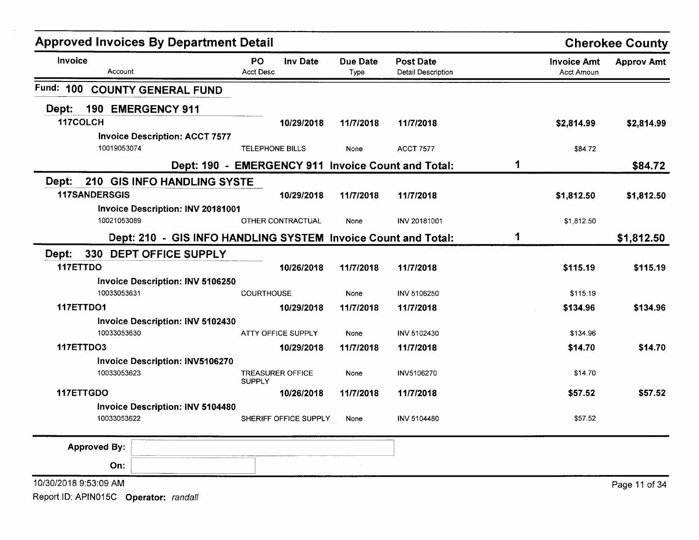| <b>Approved Invoices By Department Detail</b> |                                                               |                        |                         |                         |                                                    |   |                                         | <b>Cherokee County</b> |
|-----------------------------------------------|---------------------------------------------------------------|------------------------|-------------------------|-------------------------|----------------------------------------------------|---|-----------------------------------------|------------------------|
| <b>Invoice</b><br>Account                     |                                                               | PO<br><b>Acct Desc</b> | <b>Inv Date</b>         | <b>Due Date</b><br>Type | <b>Post Date</b><br><b>Detail Description</b>      |   | <b>Invoice Amt</b><br><b>Acct Amoun</b> | <b>Approv Amt</b>      |
| Fund:<br>100                                  | <b>COUNTY GENERAL FUND</b>                                    |                        |                         |                         |                                                    |   |                                         |                        |
| 190 EMERGENCY 911<br>Dept:                    |                                                               |                        |                         |                         |                                                    |   |                                         |                        |
| 117COLCH                                      |                                                               |                        | 10/29/2018              | 11/7/2018               | 11/7/2018                                          |   | \$2,814.99                              | \$2,814.99             |
|                                               | <b>Invoice Description: ACCT 7577</b>                         |                        |                         |                         |                                                    |   |                                         |                        |
| 10019053074                                   |                                                               | <b>TELEPHONE BILLS</b> |                         | None                    | <b>ACCT 7577</b>                                   |   | \$84.72                                 |                        |
|                                               |                                                               |                        |                         |                         | Dept: 190 - EMERGENCY 911 Invoice Count and Total: | 1 |                                         | \$84.72                |
| Dept:                                         | 210 GIS INFO HANDLING SYSTE                                   |                        |                         |                         |                                                    |   |                                         |                        |
| <b>117SANDERSGIS</b>                          |                                                               |                        | 10/29/2018              | 11/7/2018               | 11/7/2018                                          |   | \$1,812.50                              | \$1,812.50             |
|                                               | Invoice Description: INV 20181001                             |                        |                         |                         |                                                    |   |                                         |                        |
| 10021053089                                   |                                                               |                        | OTHER CONTRACTUAL       | None                    | INV 20181001                                       |   | \$1,812.50                              |                        |
|                                               | Dept: 210 - GIS INFO HANDLING SYSTEM Invoice Count and Total: |                        |                         |                         |                                                    | 1 |                                         | \$1,812.50             |
| Dept:                                         | 330 DEPT OFFICE SUPPLY                                        |                        |                         |                         |                                                    |   |                                         |                        |
| 117ETTDO                                      |                                                               |                        | 10/26/2018              | 11/7/2018               | 11/7/2018                                          |   | \$115.19                                | \$115.19               |
|                                               | <b>Invoice Description: INV 5106250</b>                       |                        |                         |                         |                                                    |   |                                         |                        |
| 10033053631                                   |                                                               | <b>COURTHOUSE</b>      |                         | None                    | <b>INV 5106250</b>                                 |   | \$115.19                                |                        |
| 117ETTDO1                                     |                                                               |                        | 10/29/2018              | 11/7/2018               | 11/7/2018                                          |   | \$134.96                                | \$134.96               |
|                                               | <b>Invoice Description: INV 5102430</b>                       |                        |                         |                         |                                                    |   |                                         |                        |
| 10033053630                                   |                                                               |                        | ATTY OFFICE SUPPLY      | None                    | INV 5102430                                        |   | \$134.96                                |                        |
| 117ETTDO3                                     |                                                               |                        | 10/29/2018              | 11/7/2018               | 11/7/2018                                          |   | \$14.70                                 | \$14.70                |
| 10033053623                                   | <b>Invoice Description: INV5106270</b>                        | <b>SUPPLY</b>          | <b>TREASURER OFFICE</b> | None                    | INV5106270                                         |   | \$14.70                                 |                        |
| 117ETTGDO                                     |                                                               |                        | 10/26/2018              | 11/7/2018               | 11/7/2018                                          |   | \$57.52                                 | \$57.52                |
|                                               | Invoice Description: INV 5104480                              |                        |                         |                         |                                                    |   |                                         |                        |
| 10033053622                                   |                                                               |                        | SHERIFF OFFICE SUPPLY   | None                    | <b>INV 5104480</b>                                 |   | \$57.52                                 |                        |
| <b>Approved By:</b>                           |                                                               |                        |                         |                         |                                                    |   |                                         |                        |
| On:                                           |                                                               |                        |                         |                         |                                                    |   |                                         |                        |
| 10/30/2018 9:53:09 AM                         |                                                               |                        |                         |                         |                                                    |   |                                         | Page 11 of 34          |
| Report ID: APIN015C Operator: randall         |                                                               |                        |                         |                         |                                                    |   |                                         |                        |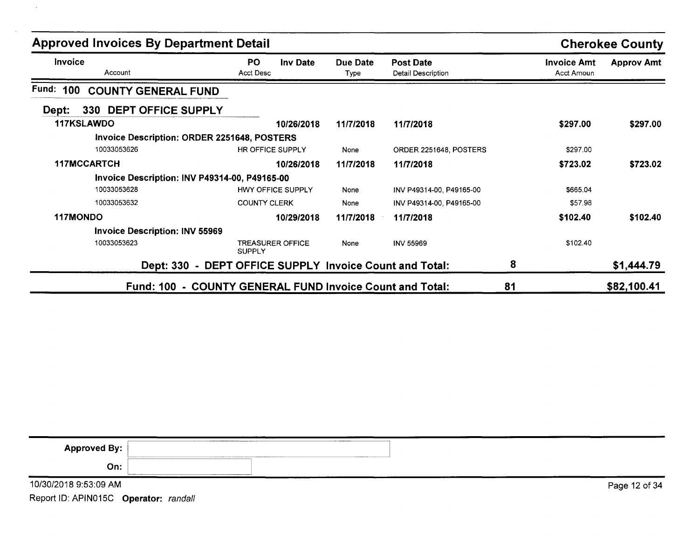| <b>Approved Invoices By Department Detail</b>      |                                                         |                  |                                        |                                  | <b>Cherokee County</b> |
|----------------------------------------------------|---------------------------------------------------------|------------------|----------------------------------------|----------------------------------|------------------------|
| <b>Invoice</b><br>Account                          | PO.<br><b>Inv Date</b><br><b>Acct Desc</b>              | Due Date<br>Type | <b>Post Date</b><br>Detail Description | <b>Invoice Amt</b><br>Acct Amoun | <b>Approv Amt</b>      |
| Fund:<br>100<br><b>COUNTY GENERAL FUND</b>         |                                                         |                  |                                        |                                  |                        |
| 330 DEPT OFFICE SUPPLY<br>Dept:                    |                                                         |                  |                                        |                                  |                        |
| 117KSLAWDO                                         | 10/26/2018                                              | 11/7/2018        | 11/7/2018                              | \$297.00                         | \$297.00               |
| <b>Invoice Description: ORDER 2251648, POSTERS</b> |                                                         |                  |                                        |                                  |                        |
| 10033053626                                        | HR OFFICE SUPPLY                                        | None             | ORDER 2251648, POSTERS                 | \$297.00                         |                        |
| 117MCCARTCH                                        | 10/26/2018                                              | 11/7/2018        | 11/7/2018                              | \$723.02                         | \$723.02               |
| Invoice Description: INV P49314-00, P49165-00      |                                                         |                  |                                        |                                  |                        |
| 10033053628                                        | <b>HWY OFFICE SUPPLY</b>                                | None             | INV P49314-00, P49165-00               | \$665.04                         |                        |
| 10033053632                                        | <b>COUNTY CLERK</b>                                     | None             | INV P49314-00, P49165-00               | \$57.98                          |                        |
| 117MONDO                                           | 10/29/2018                                              | 11/7/2018        | 11/7/2018                              | \$102.40                         | \$102.40               |
| <b>Invoice Description: INV 55969</b>              |                                                         |                  |                                        |                                  |                        |
| 10033053623                                        | <b>TREASURER OFFICE</b><br><b>SUPPLY</b>                | None             | <b>INV 55969</b>                       | \$102.40                         |                        |
|                                                    | Dept: 330 - DEPT OFFICE SUPPLY Invoice Count and Total: |                  |                                        | 8                                | \$1,444.79             |
| <b>Fund: 100</b>                                   | - COUNTY GENERAL FUND Invoice Count and Total:          |                  |                                        | 81                               | \$82,100.41            |

| <b>Approved By:</b>   | <b>A 444 BOX 500 FEB 1779 - 1779 - 1779 - 1779 - 1779 - 1779 - 1779 - 1779 - 1779 - 1779 - 1779 - 1779 - 1779 - 17</b> |               |
|-----------------------|------------------------------------------------------------------------------------------------------------------------|---------------|
| On:                   |                                                                                                                        |               |
| 10/30/2018 9:53:09 AM |                                                                                                                        | Page 12 of 34 |

 $\mathcal{A}$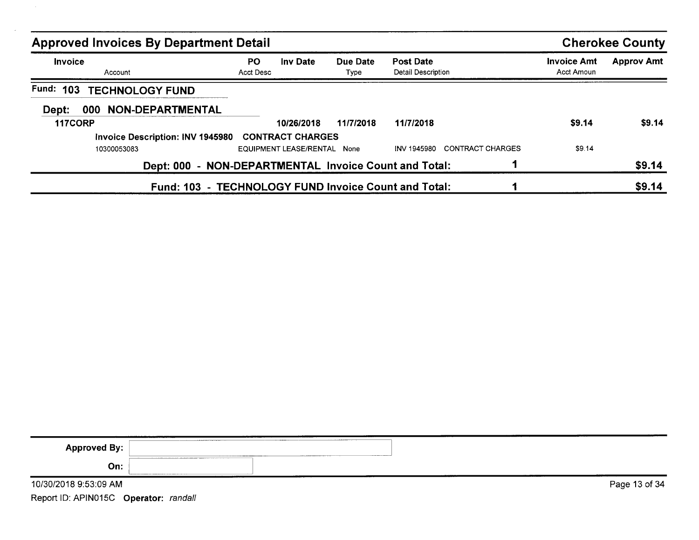| <b>Approved Invoices By Department Detail</b>        |                  |                         |                  |                                             |                                  | <b>Cherokee County</b> |
|------------------------------------------------------|------------------|-------------------------|------------------|---------------------------------------------|----------------------------------|------------------------|
| Invoice<br>Account                                   | PO.<br>Acct Desc | <b>Inv Date</b>         | Due Date<br>Type | <b>Post Date</b><br>Detail Description      | <b>Invoice Amt</b><br>Acct Amoun | <b>Approv Amt</b>      |
| Fund:<br>103<br><b>TECHNOLOGY FUND</b>               |                  |                         |                  |                                             |                                  |                        |
| <b>NON-DEPARTMENTAL</b><br>Dept:<br>000              |                  |                         |                  |                                             |                                  |                        |
| 117CORP                                              |                  | 10/26/2018              | 11/7/2018        | 11/7/2018                                   | \$9.14                           | \$9.14                 |
| Invoice Description: INV 1945980                     |                  | <b>CONTRACT CHARGES</b> |                  |                                             |                                  |                        |
| 10300053083                                          |                  | EQUIPMENT LEASE/RENTAL  | None             | CONTRACT CHARGES<br>INV 1945980             | \$9.14                           |                        |
| <b>Dept: 000</b>                                     |                  |                         |                  | - NON-DEPARTMENTAL Invoice Count and Total: |                                  | \$9.14                 |
| Fund: 103 - TECHNOLOGY FUND Invoice Count and Total: |                  |                         |                  |                                             |                                  | \$9.14                 |

 $\lambda$ 

| <b>Approved By:</b>                   | -------------- |               |
|---------------------------------------|----------------|---------------|
| On:                                   |                |               |
| 10/30/2018 9:53:09 AM                 |                | Page 13 of 34 |
| Report ID: APIN015C Operator: randall |                |               |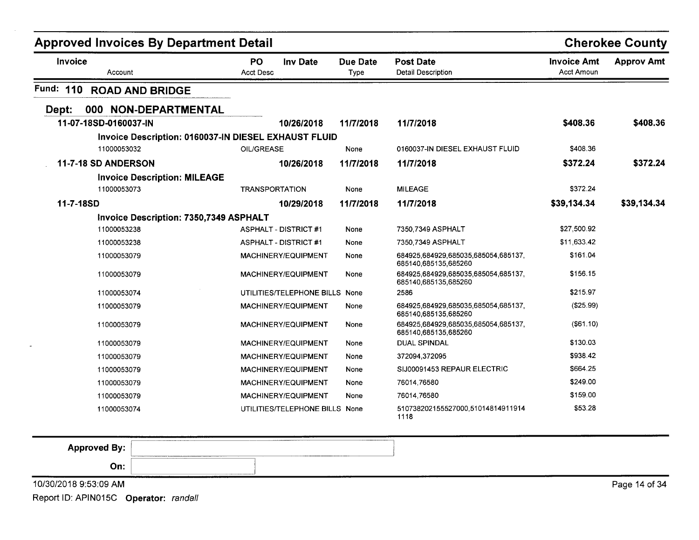|                                     | <b>Approved Invoices By Department Detail</b>        |                                |                  |                                                             |                                         | <b>Cherokee County</b> |
|-------------------------------------|------------------------------------------------------|--------------------------------|------------------|-------------------------------------------------------------|-----------------------------------------|------------------------|
| Invoice<br>Account                  | <b>PO</b><br>Acct Desc                               | <b>Inv Date</b>                | Due Date<br>Type | <b>Post Date</b><br><b>Detail Description</b>               | <b>Invoice Amt</b><br><b>Acct Amoun</b> | <b>Approv Amt</b>      |
| Fund: 110<br><b>ROAD AND BRIDGE</b> |                                                      |                                |                  |                                                             |                                         |                        |
| Dept:                               | 000 NON-DEPARTMENTAL                                 |                                |                  |                                                             |                                         |                        |
| 11-07-18SD-0160037-IN               |                                                      | 10/26/2018                     | 11/7/2018        | 11/7/2018                                                   | \$408.36                                | \$408.36               |
|                                     | Invoice Description: 0160037-IN DIESEL EXHAUST FLUID |                                |                  |                                                             |                                         |                        |
| 11000053032                         | OIL/GREASE                                           |                                | None             | 0160037-IN DIESEL EXHAUST FLUID                             | \$408.36                                |                        |
| 11-7-18 SD ANDERSON                 |                                                      | 10/26/2018                     | 11/7/2018        | 11/7/2018                                                   | \$372.24                                | \$372.24               |
|                                     | <b>Invoice Description: MILEAGE</b>                  |                                |                  |                                                             |                                         |                        |
| 11000053073                         | <b>TRANSPORTATION</b>                                |                                | None             | <b>MILEAGE</b>                                              | \$372.24                                |                        |
| 11-7-18SD                           |                                                      | 10/29/2018                     | 11/7/2018        | 11/7/2018                                                   | \$39,134.34                             | \$39,134.34            |
|                                     | Invoice Description: 7350,7349 ASPHALT               |                                |                  |                                                             |                                         |                        |
| 11000053238                         |                                                      | <b>ASPHALT - DISTRICT #1</b>   | None             | 7350.7349 ASPHALT                                           | \$27,500.92                             |                        |
| 11000053238                         |                                                      | <b>ASPHALT - DISTRICT #1</b>   | None             | 7350.7349 ASPHALT                                           | \$11,633.42                             |                        |
| 11000053079                         |                                                      | MACHINERY/EQUIPMENT            | None             | 684925,684929,685035,685054,685137,<br>685140.685135.685260 | \$161.04                                |                        |
| 11000053079                         |                                                      | MACHINERY/EQUIPMENT            | None             | 684925.684929.685035.685054.685137.<br>685140,685135,685260 | \$156.15                                |                        |
| 11000053074                         |                                                      | UTILITIES/TELEPHONE BILLS None |                  | 2586                                                        | \$215.97                                |                        |
| 11000053079                         |                                                      | <b>MACHINERY/EQUIPMENT</b>     | None             | 684925,684929,685035,685054,685137,<br>685140,685135,685260 | (\$25.99)                               |                        |
| 11000053079                         |                                                      | MACHINERY/EQUIPMENT            | None             | 684925.684929.685035.685054.685137,<br>685140.685135.685260 | $($ \$61.10)                            |                        |
| 11000053079                         |                                                      | MACHINERY/EQUIPMENT            | None             | <b>DUAL SPINDAL</b>                                         | \$130.03                                |                        |
| 11000053079                         |                                                      | MACHINERY/EQUIPMENT            | None             | 372094,372095                                               | \$938.42                                |                        |
| 11000053079                         |                                                      | <b>MACHINERY/EQUIPMENT</b>     | None             | SIJ00091453 REPAUR ELECTRIC                                 | \$664.25                                |                        |
| 11000053079                         |                                                      | MACHINERY/EQUIPMENT            | None             | 76014,76580                                                 | \$249.00                                |                        |
| 11000053079                         |                                                      | MACHINERY/EQUIPMENT            | None             | 76014 76580                                                 | \$159.00                                |                        |
| 11000053074                         |                                                      | UTILITIES/TELEPHONE BILLS None |                  | 510738202155527000.51014814911914<br>1118                   | \$53.28                                 |                        |

|                       |                                                                                                                                 | .             |
|-----------------------|---------------------------------------------------------------------------------------------------------------------------------|---------------|
| <b>Approved By:</b>   | About a model and complete the complete property of the complete the complete that the complete the complete of<br>____________ |               |
| On:                   | ----------------------                                                                                                          |               |
| 10/30/2018 9:53:09 AM |                                                                                                                                 | Page 14 of 34 |

Page 14 of 34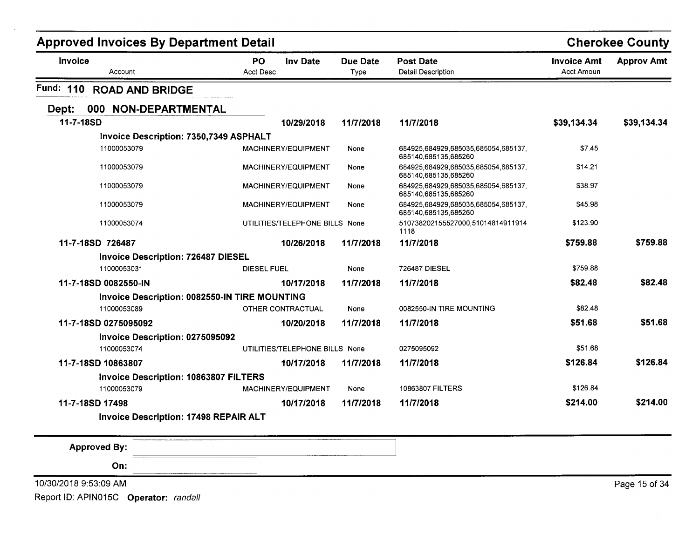| <b>PO</b><br><b>Invoice</b><br><b>Inv Date</b><br><b>Due Date</b><br><b>Post Date</b><br><b>Invoice Amt</b><br><b>Acct Desc</b><br><b>Acct Amoun</b><br><b>Detail Description</b><br>Account<br>Type<br>Fund: 110<br><b>ROAD AND BRIDGE</b><br><b>NON-DEPARTMENTAL</b><br>000<br>Dept:<br>11-7-18SD<br>10/29/2018<br>11/7/2018<br>11/7/2018<br>\$39,134.34<br>Invoice Description: 7350,7349 ASPHALT<br>11000053079<br>\$7.45<br>MACHINERY/EQUIPMENT<br>684925.684929,685035,685054,685137,<br>None<br>685140,685135,685260<br>11000053079<br>MACHINERY/EQUIPMENT<br>684925,684929,685035,685054,685137,<br>\$14.21<br>None<br>685140,685135,685260<br>684925.684929.685035.685054.685137,<br>\$38.97<br>11000053079<br>MACHINERY/EQUIPMENT<br>None<br>685140,685135,685260<br>11000053079<br>684925,684929,685035,685054,685137,<br>\$45.98<br>MACHINERY/EQUIPMENT<br>None<br>685140.685135.685260<br>510738202155527000,51014814911914<br>\$123.90<br>11000053074<br>UTILITIES/TELEPHONE BILLS None<br>1118<br>\$759.88<br>11-7-18SD 726487<br>11/7/2018<br>10/26/2018<br>11/7/2018<br><b>Invoice Description: 726487 DIESEL</b><br>\$759.88<br>11000053031<br>726487 DIESEL<br><b>DIESEL FUEL</b><br>None | <b>Cherokee County</b> |  | <b>Approved Invoices By Department Detail</b> |  |  |  |
|--------------------------------------------------------------------------------------------------------------------------------------------------------------------------------------------------------------------------------------------------------------------------------------------------------------------------------------------------------------------------------------------------------------------------------------------------------------------------------------------------------------------------------------------------------------------------------------------------------------------------------------------------------------------------------------------------------------------------------------------------------------------------------------------------------------------------------------------------------------------------------------------------------------------------------------------------------------------------------------------------------------------------------------------------------------------------------------------------------------------------------------------------------------------------------------------------------------|------------------------|--|-----------------------------------------------|--|--|--|
|                                                                                                                                                                                                                                                                                                                                                                                                                                                                                                                                                                                                                                                                                                                                                                                                                                                                                                                                                                                                                                                                                                                                                                                                              | <b>Approv Amt</b>      |  |                                               |  |  |  |
|                                                                                                                                                                                                                                                                                                                                                                                                                                                                                                                                                                                                                                                                                                                                                                                                                                                                                                                                                                                                                                                                                                                                                                                                              |                        |  |                                               |  |  |  |
|                                                                                                                                                                                                                                                                                                                                                                                                                                                                                                                                                                                                                                                                                                                                                                                                                                                                                                                                                                                                                                                                                                                                                                                                              |                        |  |                                               |  |  |  |
|                                                                                                                                                                                                                                                                                                                                                                                                                                                                                                                                                                                                                                                                                                                                                                                                                                                                                                                                                                                                                                                                                                                                                                                                              | \$39,134.34            |  |                                               |  |  |  |
|                                                                                                                                                                                                                                                                                                                                                                                                                                                                                                                                                                                                                                                                                                                                                                                                                                                                                                                                                                                                                                                                                                                                                                                                              |                        |  |                                               |  |  |  |
|                                                                                                                                                                                                                                                                                                                                                                                                                                                                                                                                                                                                                                                                                                                                                                                                                                                                                                                                                                                                                                                                                                                                                                                                              |                        |  |                                               |  |  |  |
|                                                                                                                                                                                                                                                                                                                                                                                                                                                                                                                                                                                                                                                                                                                                                                                                                                                                                                                                                                                                                                                                                                                                                                                                              |                        |  |                                               |  |  |  |
|                                                                                                                                                                                                                                                                                                                                                                                                                                                                                                                                                                                                                                                                                                                                                                                                                                                                                                                                                                                                                                                                                                                                                                                                              |                        |  |                                               |  |  |  |
|                                                                                                                                                                                                                                                                                                                                                                                                                                                                                                                                                                                                                                                                                                                                                                                                                                                                                                                                                                                                                                                                                                                                                                                                              |                        |  |                                               |  |  |  |
|                                                                                                                                                                                                                                                                                                                                                                                                                                                                                                                                                                                                                                                                                                                                                                                                                                                                                                                                                                                                                                                                                                                                                                                                              |                        |  |                                               |  |  |  |
|                                                                                                                                                                                                                                                                                                                                                                                                                                                                                                                                                                                                                                                                                                                                                                                                                                                                                                                                                                                                                                                                                                                                                                                                              | \$759.88               |  |                                               |  |  |  |
|                                                                                                                                                                                                                                                                                                                                                                                                                                                                                                                                                                                                                                                                                                                                                                                                                                                                                                                                                                                                                                                                                                                                                                                                              |                        |  |                                               |  |  |  |
|                                                                                                                                                                                                                                                                                                                                                                                                                                                                                                                                                                                                                                                                                                                                                                                                                                                                                                                                                                                                                                                                                                                                                                                                              |                        |  |                                               |  |  |  |
| 11-7-18SD 0082550-IN<br>\$82.48<br>10/17/2018<br>11/7/2018<br>11/7/2018                                                                                                                                                                                                                                                                                                                                                                                                                                                                                                                                                                                                                                                                                                                                                                                                                                                                                                                                                                                                                                                                                                                                      | \$82.48                |  |                                               |  |  |  |
| Invoice Description: 0082550-IN TIRE MOUNTING                                                                                                                                                                                                                                                                                                                                                                                                                                                                                                                                                                                                                                                                                                                                                                                                                                                                                                                                                                                                                                                                                                                                                                |                        |  |                                               |  |  |  |
| \$82.48<br>11000053089<br>OTHER CONTRACTUAL<br>0082550-IN TIRE MOUNTING<br>None                                                                                                                                                                                                                                                                                                                                                                                                                                                                                                                                                                                                                                                                                                                                                                                                                                                                                                                                                                                                                                                                                                                              |                        |  |                                               |  |  |  |
| \$51.68<br>11-7-18SD 0275095092<br>11/7/2018<br>11/7/2018<br>10/20/2018                                                                                                                                                                                                                                                                                                                                                                                                                                                                                                                                                                                                                                                                                                                                                                                                                                                                                                                                                                                                                                                                                                                                      | \$51.68                |  |                                               |  |  |  |
| Invoice Description: 0275095092                                                                                                                                                                                                                                                                                                                                                                                                                                                                                                                                                                                                                                                                                                                                                                                                                                                                                                                                                                                                                                                                                                                                                                              |                        |  |                                               |  |  |  |
| \$51.68<br>11000053074<br>UTILITIES/TELEPHONE BILLS None<br>0275095092                                                                                                                                                                                                                                                                                                                                                                                                                                                                                                                                                                                                                                                                                                                                                                                                                                                                                                                                                                                                                                                                                                                                       |                        |  |                                               |  |  |  |
| \$126.84<br>11-7-18SD 10863807<br>10/17/2018<br>11/7/2018<br>11/7/2018                                                                                                                                                                                                                                                                                                                                                                                                                                                                                                                                                                                                                                                                                                                                                                                                                                                                                                                                                                                                                                                                                                                                       | \$126.84               |  |                                               |  |  |  |
| Invoice Description: 10863807 FILTERS                                                                                                                                                                                                                                                                                                                                                                                                                                                                                                                                                                                                                                                                                                                                                                                                                                                                                                                                                                                                                                                                                                                                                                        |                        |  |                                               |  |  |  |
| \$126.84<br>11000053079<br>10863807 FILTERS<br>MACHINERY/EQUIPMENT<br>None                                                                                                                                                                                                                                                                                                                                                                                                                                                                                                                                                                                                                                                                                                                                                                                                                                                                                                                                                                                                                                                                                                                                   |                        |  |                                               |  |  |  |
| \$214.00<br>11-7-18SD 17498<br>11/7/2018<br>11/7/2018<br>10/17/2018                                                                                                                                                                                                                                                                                                                                                                                                                                                                                                                                                                                                                                                                                                                                                                                                                                                                                                                                                                                                                                                                                                                                          | \$214.00               |  |                                               |  |  |  |
| <b>Invoice Description: 17498 REPAIR ALT</b>                                                                                                                                                                                                                                                                                                                                                                                                                                                                                                                                                                                                                                                                                                                                                                                                                                                                                                                                                                                                                                                                                                                                                                 |                        |  |                                               |  |  |  |
| <b>Approved By:</b>                                                                                                                                                                                                                                                                                                                                                                                                                                                                                                                                                                                                                                                                                                                                                                                                                                                                                                                                                                                                                                                                                                                                                                                          |                        |  |                                               |  |  |  |
| On:                                                                                                                                                                                                                                                                                                                                                                                                                                                                                                                                                                                                                                                                                                                                                                                                                                                                                                                                                                                                                                                                                                                                                                                                          |                        |  |                                               |  |  |  |

10/30/20189:53:09 AM

Report 10: APIN015C **Operator:** randall

Page 15 of 34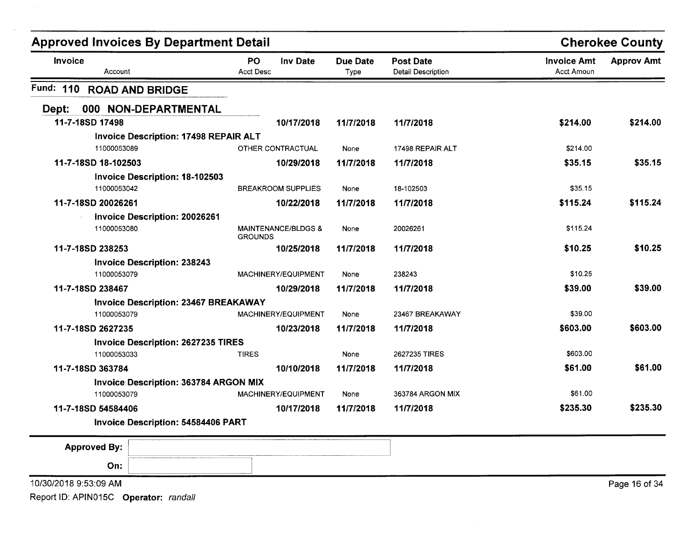| <b>Approved Invoices By Department Detail</b> |                                              |                               |                                |                         | <b>Cherokee County</b>                 |                                  |                   |
|-----------------------------------------------|----------------------------------------------|-------------------------------|--------------------------------|-------------------------|----------------------------------------|----------------------------------|-------------------|
| <b>Invoice</b><br>Account                     |                                              | <b>PO</b><br><b>Acct Desc</b> | Inv Date                       | <b>Due Date</b><br>Type | <b>Post Date</b><br>Detail Description | <b>Invoice Amt</b><br>Acct Amoun | <b>Approv Amt</b> |
| Fund: 110                                     | <b>ROAD AND BRIDGE</b>                       |                               |                                |                         |                                        |                                  |                   |
| Dept:                                         | 000 NON-DEPARTMENTAL                         |                               |                                |                         |                                        |                                  |                   |
| 11-7-18SD 17498                               |                                              |                               | 10/17/2018                     | 11/7/2018               | 11/7/2018                              | \$214.00                         | \$214.00          |
|                                               | <b>Invoice Description: 17498 REPAIR ALT</b> |                               |                                |                         |                                        |                                  |                   |
| 11000053089                                   |                                              |                               | OTHER CONTRACTUAL              | None                    | 17498 REPAIR ALT                       | \$214.00                         |                   |
| 11-7-18SD 18-102503                           |                                              |                               | 10/29/2018                     | 11/7/2018               | 11/7/2018                              | \$35.15                          | \$35.15           |
|                                               | <b>Invoice Description: 18-102503</b>        |                               |                                |                         |                                        |                                  |                   |
| 11000053042                                   |                                              |                               | <b>BREAKROOM SUPPLIES</b>      | None                    | 18-102503                              | \$35.15                          |                   |
| 11-7-18SD 20026261                            |                                              |                               | 10/22/2018                     | 11/7/2018               | 11/7/2018                              | \$115.24                         | \$115.24          |
|                                               | Invoice Description: 20026261                |                               |                                |                         |                                        |                                  |                   |
| 11000053080                                   |                                              | <b>GROUNDS</b>                | <b>MAINTENANCE/BLDGS &amp;</b> | None                    | 20026261                               | \$115.24                         |                   |
| 11-7-18SD 238253                              |                                              |                               | 10/25/2018                     | 11/7/2018               | 11/7/2018                              | \$10.25                          | \$10.25           |
|                                               | <b>Invoice Description: 238243</b>           |                               |                                |                         |                                        |                                  |                   |
| 11000053079                                   |                                              |                               | MACHINERY/EQUIPMENT            | None                    | 238243                                 | \$10.25                          |                   |
| 11-7-18SD 238467                              |                                              |                               | 10/29/2018                     | 11/7/2018               | 11/7/2018                              | \$39.00                          | \$39.00           |
|                                               | <b>Invoice Description: 23467 BREAKAWAY</b>  |                               |                                |                         |                                        |                                  |                   |
| 11000053079                                   |                                              |                               | MACHINERY/EQUIPMENT            | None                    | 23467 BREAKAWAY                        | \$39.00                          |                   |
| 11-7-18SD 2627235                             |                                              |                               | 10/23/2018                     | 11/7/2018               | 11/7/2018                              | \$603.00                         | \$603.00          |
|                                               | <b>Invoice Description: 2627235 TIRES</b>    |                               |                                |                         |                                        |                                  |                   |
| 11000053033                                   |                                              | <b>TIRES</b>                  |                                | None                    | 2627235 TIRES                          | \$603.00                         |                   |
| 11-7-18SD 363784                              |                                              |                               | 10/10/2018                     | 11/7/2018               | 11/7/2018                              | \$61.00                          | \$61.00           |
|                                               | <b>Invoice Description: 363784 ARGON MIX</b> |                               |                                |                         |                                        |                                  |                   |
| 11000053079                                   |                                              |                               | MACHINERY/EQUIPMENT            | None                    | 363784 ARGON MIX                       | \$61.00                          |                   |
| 11-7-18SD 54584406                            |                                              |                               | 10/17/2018                     | 11/7/2018               | 11/7/2018                              | \$235.30                         | \$235.30          |
|                                               | <b>Invoice Description: 54584406 PART</b>    |                               |                                |                         |                                        |                                  |                   |
| <b>Approved By:</b>                           |                                              |                               |                                |                         |                                        |                                  |                   |
| On:                                           |                                              |                               |                                |                         |                                        |                                  |                   |
| 10/30/2018 9:53:09 AM                         |                                              |                               |                                |                         |                                        |                                  | Page 16 of 34     |
|                                               |                                              |                               |                                |                         |                                        |                                  |                   |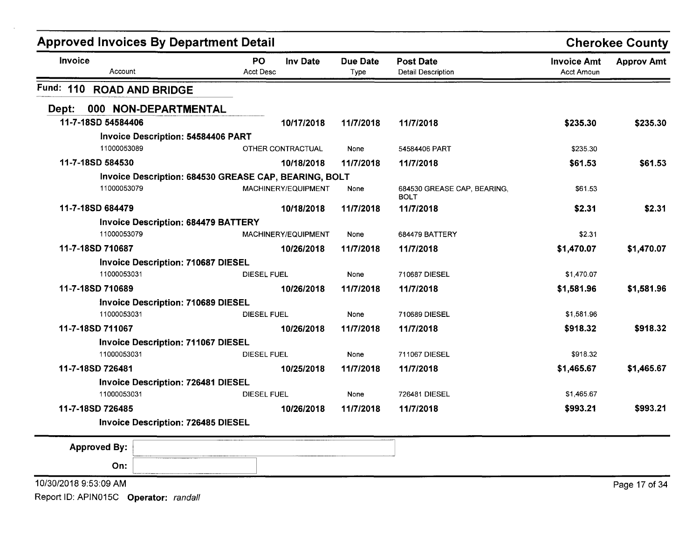| <b>Approved Invoices By Department Detail</b>                 |                                           |                         |                                            | <b>Cherokee County</b>           |                   |
|---------------------------------------------------------------|-------------------------------------------|-------------------------|--------------------------------------------|----------------------------------|-------------------|
| Invoice<br>Account                                            | PO<br><b>Inv Date</b><br><b>Acct Desc</b> | <b>Due Date</b><br>Type | <b>Post Date</b><br>Detail Description     | <b>Invoice Amt</b><br>Acct Amoun | <b>Approv Amt</b> |
| Fund: 110<br><b>ROAD AND BRIDGE</b>                           |                                           |                         |                                            |                                  |                   |
| 000 NON-DEPARTMENTAL<br>Dept:                                 |                                           |                         |                                            |                                  |                   |
| 11-7-18SD 54584406                                            | 10/17/2018                                | 11/7/2018               | 11/7/2018                                  | \$235.30                         | \$235.30          |
| <b>Invoice Description: 54584406 PART</b>                     |                                           |                         |                                            |                                  |                   |
| 11000053089                                                   | OTHER CONTRACTUAL                         | None                    | 54584406 PART                              | \$235.30                         |                   |
| 11-7-18SD 584530                                              | 10/18/2018                                | 11/7/2018               | 11/7/2018                                  | \$61.53                          | \$61.53           |
| Invoice Description: 684530 GREASE CAP, BEARING, BOLT         |                                           |                         |                                            |                                  |                   |
| 11000053079                                                   | MACHINERY/EQUIPMENT                       | None                    | 684530 GREASE CAP, BEARING,<br><b>BOLT</b> | \$61.53                          |                   |
| 11-7-18SD 684479                                              | 10/18/2018                                | 11/7/2018               | 11/7/2018                                  | \$2.31                           | \$2.31            |
| <b>Invoice Description: 684479 BATTERY</b>                    |                                           |                         |                                            |                                  |                   |
| 11000053079                                                   | MACHINERY/EQUIPMENT                       | None                    | 684479 BATTERY                             | \$2.31                           |                   |
| 11-7-18SD 710687                                              | 10/26/2018                                | 11/7/2018               | 11/7/2018                                  | \$1,470.07                       | \$1,470.07        |
| <b>Invoice Description: 710687 DIESEL</b>                     |                                           |                         |                                            |                                  |                   |
| 11000053031                                                   | <b>DIESEL FUEL</b>                        | None                    | 710687 DIESEL                              | \$1,470.07                       |                   |
| 11-7-18SD 710689                                              | 10/26/2018                                | 11/7/2018               | 11/7/2018                                  | \$1,581.96                       | \$1,581.96        |
| <b>Invoice Description: 710689 DIESEL</b>                     |                                           |                         |                                            |                                  |                   |
| 11000053031                                                   | <b>DIESEL FUEL</b>                        | None                    | 710689 DIESEL                              | \$1,581.96                       |                   |
| 11-7-18SD 711067                                              | 10/26/2018                                | 11/7/2018               | 11/7/2018                                  | \$918.32                         | \$918.32          |
| <b>Invoice Description: 711067 DIESEL</b>                     |                                           |                         |                                            |                                  |                   |
| 11000053031                                                   | <b>DIESEL FUEL</b>                        | None                    | 711067 DIESEL                              | \$918.32                         |                   |
| 11-7-18SD 726481                                              | 10/25/2018                                | 11/7/2018               | 11/7/2018                                  | \$1,465.67                       | \$1,465.67        |
| Invoice Description: 726481 DIESEL                            |                                           |                         |                                            |                                  |                   |
| 11000053031                                                   | <b>DIESEL FUEL</b>                        | None                    | 726481 DIESEL                              | \$1,465.67                       |                   |
| 11-7-18SD 726485<br><b>Invoice Description: 726485 DIESEL</b> | 10/26/2018                                | 11/7/2018               | 11/7/2018                                  | \$993.21                         | \$993.21          |
|                                                               |                                           |                         |                                            |                                  |                   |
| <b>Approved By:</b>                                           |                                           |                         |                                            |                                  |                   |
| On:                                                           |                                           |                         |                                            |                                  |                   |
| 10/30/2018 9:53:09 AM                                         |                                           |                         |                                            |                                  | Page 17 of 34     |
| Report ID: APIN015C Operator: randall                         |                                           |                         |                                            |                                  |                   |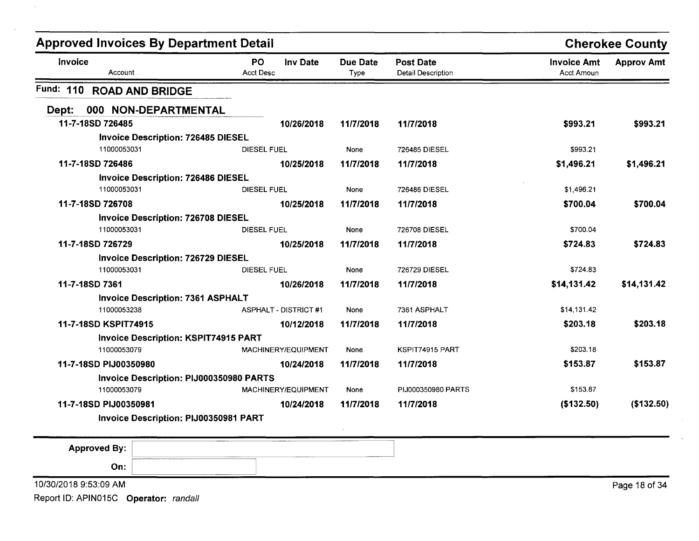| <b>Approved Invoices By Department Detail</b> |                                           |                         |                                               |                                  | <b>Cherokee County</b> |
|-----------------------------------------------|-------------------------------------------|-------------------------|-----------------------------------------------|----------------------------------|------------------------|
| <b>Invoice</b><br>Account                     | PO<br><b>Inv Date</b><br><b>Acct Desc</b> | <b>Due Date</b><br>Type | <b>Post Date</b><br><b>Detail Description</b> | <b>Invoice Amt</b><br>Acct Amoun | <b>Approv Amt</b>      |
| Fund: 110 ROAD AND BRIDGE                     |                                           |                         |                                               |                                  |                        |
| 000 NON-DEPARTMENTAL<br>Dept:                 |                                           |                         |                                               |                                  |                        |
| 11-7-18SD 726485                              | 10/26/2018                                | 11/7/2018               | 11/7/2018                                     | \$993.21                         | \$993.21               |
| <b>Invoice Description: 726485 DIESEL</b>     |                                           |                         |                                               |                                  |                        |
| 11000053031                                   | <b>DIESEL FUEL</b>                        | None                    | 726485 DIESEL                                 | \$993.21                         |                        |
| 11-7-18SD 726486                              | 10/25/2018                                | 11/7/2018               | 11/7/2018                                     | \$1,496.21                       | \$1,496.21             |
| <b>Invoice Description: 726486 DIESEL</b>     |                                           |                         |                                               |                                  |                        |
| 11000053031                                   | DIESEL FUEL                               | None                    | 726486 DIESEL                                 | \$1,496.21                       |                        |
| 11-7-18SD 726708                              | 10/25/2018                                | 11/7/2018               | 11/7/2018                                     | \$700.04                         | \$700.04               |
| <b>Invoice Description: 726708 DIESEL</b>     |                                           |                         |                                               |                                  |                        |
| 11000053031                                   | <b>DIESEL FUEL</b>                        | None                    | 726708 DIESEL                                 | \$700.04                         |                        |
| 11-7-18SD 726729                              | 10/25/2018                                | 11/7/2018               | 11/7/2018                                     | \$724.83                         | \$724.83               |
| <b>Invoice Description: 726729 DIESEL</b>     |                                           |                         |                                               |                                  |                        |
| 11000053031                                   | DIESEL FUEL                               | None                    | 726729 DIESEL                                 | \$724.83                         |                        |
| 11-7-18SD 7361                                | 10/26/2018                                | 11/7/2018               | 11/7/2018                                     | \$14,131.42                      | \$14,131.42            |
| <b>Invoice Description: 7361 ASPHALT</b>      |                                           |                         |                                               |                                  |                        |
| 11000053238                                   | <b>ASPHALT - DISTRICT #1</b>              | None                    | 7361 ASPHALT                                  | \$14,131.42                      |                        |
| 11-7-18SD KSPIT74915                          | 10/12/2018                                | 11/7/2018               | 11/7/2018                                     | \$203.18                         | \$203.18               |
| <b>Invoice Description: KSPIT74915 PART</b>   |                                           |                         |                                               |                                  |                        |
| 11000053079                                   | MACHINERY/EQUIPMENT                       | None                    | KSPIT74915 PART                               | \$203.18                         |                        |
| 11-7-18SD PIJ00350980                         | 10/24/2018                                | 11/7/2018               | 11/7/2018                                     | \$153.87                         | \$153.87               |
| Invoice Description: PIJ000350980 PARTS       |                                           |                         |                                               |                                  |                        |
| 11000053079                                   | MACHINERY/EQUIPMENT                       | None                    | PIJ000350980 PARTS                            | \$153.87                         |                        |
| 11-7-18SD PIJ00350981                         | 10/24/2018                                | 11/7/2018               | 11/7/2018                                     | (\$132.50)                       | (\$132.50)             |
| Invoice Description: PIJ00350981 PART         |                                           |                         |                                               |                                  |                        |
| <b>Approved By:</b>                           |                                           |                         |                                               |                                  |                        |
| On:                                           |                                           |                         |                                               |                                  |                        |
| 10/30/2018 9:53:09 AM                         |                                           |                         |                                               |                                  | Page 18 of 34          |

 $\lambda_{\rm L}$ 

 $\ddot{\phantom{a}}$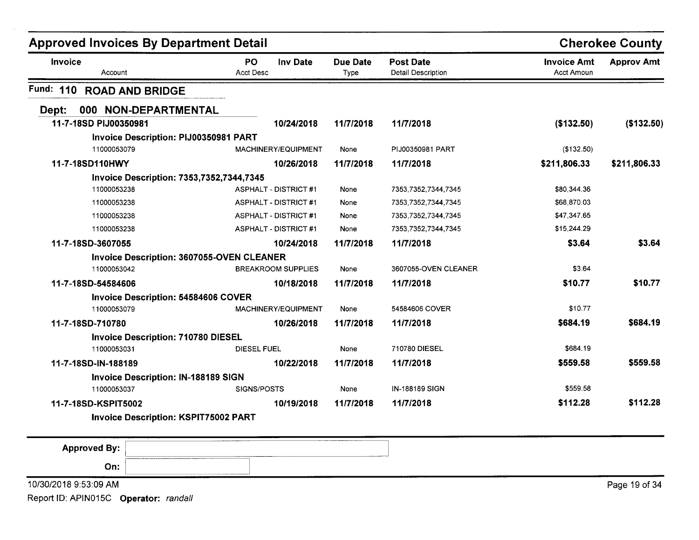| <b>Approved Invoices By Department Detail</b>    |                                           |                         |                                               |                                  | <b>Cherokee County</b> |
|--------------------------------------------------|-------------------------------------------|-------------------------|-----------------------------------------------|----------------------------------|------------------------|
| Invoice<br>Account                               | PO<br><b>Inv Date</b><br><b>Acct Desc</b> | <b>Due Date</b><br>Type | <b>Post Date</b><br><b>Detail Description</b> | <b>Invoice Amt</b><br>Acct Amoun | <b>Approv Amt</b>      |
| Fund: 110<br><b>ROAD AND BRIDGE</b>              |                                           |                         |                                               |                                  |                        |
| 000 NON-DEPARTMENTAL<br>Dept:                    |                                           |                         |                                               |                                  |                        |
| 11-7-18SD PIJ00350981                            | 10/24/2018                                | 11/7/2018               | 11/7/2018                                     | (\$132.50)                       | (\$132.50)             |
| Invoice Description: PIJ00350981 PART            |                                           |                         |                                               |                                  |                        |
| 11000053079                                      | MACHINERY/EQUIPMENT                       | None                    | PIJ00350981 PART                              | (\$132.50)                       |                        |
| 11-7-18SD110HWY                                  | 10/26/2018                                | 11/7/2018               | 11/7/2018                                     | \$211,806.33                     | \$211,806.33           |
| <b>Invoice Description: 7353,7352,7344,7345</b>  |                                           |                         |                                               |                                  |                        |
| 11000053238                                      | <b>ASPHALT - DISTRICT #1</b>              | None                    | 7353,7352,7344,7345                           | \$80,344.36                      |                        |
| 11000053238                                      | <b>ASPHALT - DISTRICT#1</b>               | None                    | 7353,7352,7344,7345                           | \$68,870.03                      |                        |
| 11000053238                                      | <b>ASPHALT - DISTRICT #1</b>              | None                    | 7353,7352,7344,7345                           | \$47,347.65                      |                        |
| 11000053238                                      | <b>ASPHALT - DISTRICT #1</b>              | None                    | 7353,7352,7344,7345                           | \$15,244.29                      |                        |
| 11-7-18SD-3607055                                | 10/24/2018                                | 11/7/2018               | 11/7/2018                                     | \$3.64                           | \$3.64                 |
| <b>Invoice Description: 3607055-OVEN CLEANER</b> |                                           |                         |                                               |                                  |                        |
| 11000053042                                      | <b>BREAKROOM SUPPLIES</b>                 | None                    | 3607055-OVEN CLEANER                          | \$3.64                           |                        |
| 11-7-18SD-54584606                               | 10/18/2018                                | 11/7/2018               | 11/7/2018                                     | \$10.77                          | \$10.77                |
| <b>Invoice Description: 54584606 COVER</b>       |                                           |                         |                                               |                                  |                        |
| 11000053079                                      | MACHINERY/EQUIPMENT                       | None                    | 54584606 COVER                                | \$10.77                          |                        |
| 11-7-18SD-710780                                 | 10/26/2018                                | 11/7/2018               | 11/7/2018                                     | \$684.19                         | \$684.19               |
| <b>Invoice Description: 710780 DIESEL</b>        |                                           |                         |                                               |                                  |                        |
| 11000053031                                      | DIESEL FUEL                               | None                    | 710780 DIESEL                                 | \$684.19                         |                        |
| 11-7-18SD-IN-188189                              | 10/22/2018                                | 11/7/2018               | 11/7/2018                                     | \$559.58                         | \$559.58               |
| <b>Invoice Description: IN-188189 SIGN</b>       |                                           |                         |                                               |                                  |                        |
| 11000053037                                      | SIGNS/POSTS                               | None                    | IN-188189 SIGN                                | \$559.58                         |                        |
| 11-7-18SD-KSPIT5002                              | 10/19/2018                                | 11/7/2018               | 11/7/2018                                     | \$112.28                         | \$112.28               |
| <b>Invoice Description: KSPIT75002 PART</b>      |                                           |                         |                                               |                                  |                        |
|                                                  |                                           |                         |                                               |                                  |                        |

| <b>Approved By:</b>   | ------------<br>------------------- |               |
|-----------------------|-------------------------------------|---------------|
| On:                   |                                     |               |
| 10/30/2018 9:53:09 AM |                                     | Page 19 of 34 |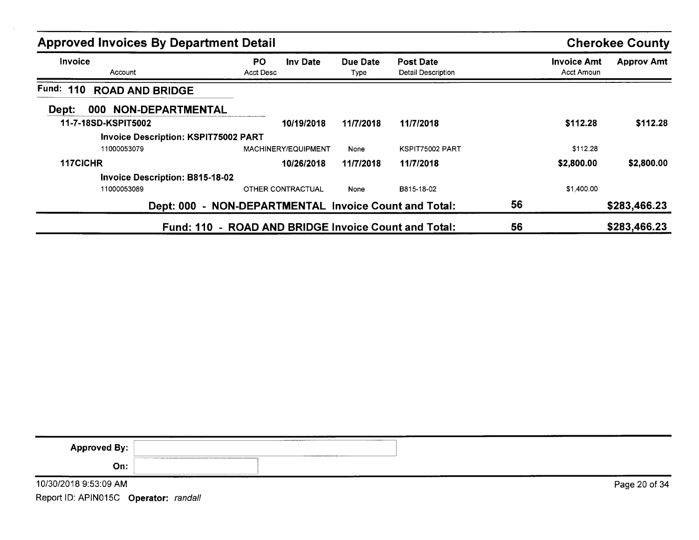| <b>Approved Invoices By Department Detail</b> |                                                       |                  |                                        | <b>Cherokee County</b>           |                   |
|-----------------------------------------------|-------------------------------------------------------|------------------|----------------------------------------|----------------------------------|-------------------|
| <b>Invoice</b><br>Account                     | <b>PO</b><br><b>Inv Date</b><br>Acct Desc             | Due Date<br>Type | <b>Post Date</b><br>Detail Description | <b>Invoice Amt</b><br>Acct Amoun | <b>Approv Amt</b> |
| Fund: 110<br><b>ROAD AND BRIDGE</b>           |                                                       |                  |                                        |                                  |                   |
| <b>NON-DEPARTMENTAL</b><br>000<br>Dept:       |                                                       |                  |                                        |                                  |                   |
| 11-7-18SD-KSPIT5002                           | 10/19/2018                                            | 11/7/2018        | 11/7/2018                              | \$112.28                         | \$112.28          |
| <b>Invoice Description: KSPIT75002 PART</b>   |                                                       |                  |                                        |                                  |                   |
| 11000053079                                   | MACHINERY/EQUIPMENT                                   | None             | KSPIT75002 PART                        | \$112.28                         |                   |
| 117CICHR                                      | 10/26/2018                                            | 11/7/2018        | 11/7/2018                              | \$2,800.00                       | \$2,800.00        |
| <b>Invoice Description: B815-18-02</b>        |                                                       |                  |                                        |                                  |                   |
| 11000053089                                   | OTHER CONTRACTUAL                                     | None             | B815-18-02                             | \$1,400.00                       |                   |
|                                               | Dept: 000 - NON-DEPARTMENTAL Invoice Count and Total: |                  |                                        | 56                               | \$283,466.23      |
|                                               | Fund: 110 - ROAD AND BRIDGE Invoice Count and Total:  |                  |                                        | 56                               | \$283,466.23      |

| <b>Approved By:</b>   | __________________ |  |               |
|-----------------------|--------------------|--|---------------|
| On:                   |                    |  |               |
| 10/30/2018 9:53:09 AM |                    |  | Page 20 of 34 |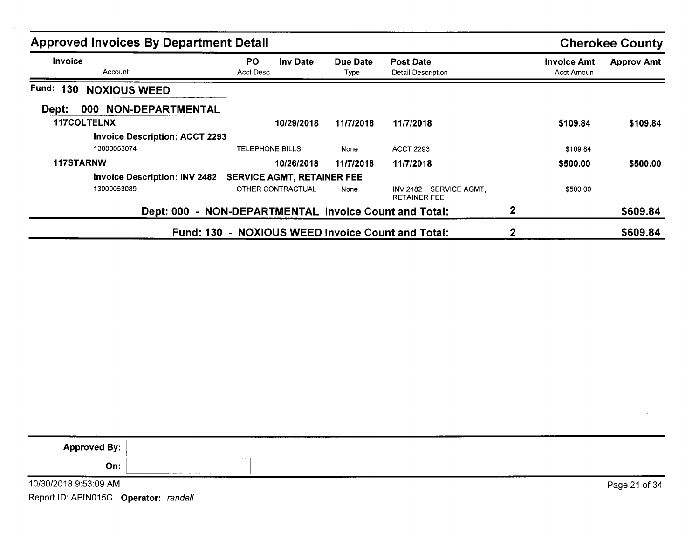| <b>Approved Invoices By Department Detail</b> |                                                       |                  |                                               |                                  | <b>Cherokee County</b> |
|-----------------------------------------------|-------------------------------------------------------|------------------|-----------------------------------------------|----------------------------------|------------------------|
| <b>Invoice</b><br>Account                     | PO.<br>Inv Date<br>Acct Desc                          | Due Date<br>Type | <b>Post Date</b><br>Detail Description        | <b>Invoice Amt</b><br>Acct Amoun | <b>Approv Amt</b>      |
| Fund: 130<br><b>NOXIOUS WEED</b>              |                                                       |                  |                                               |                                  |                        |
| 000 NON-DEPARTMENTAL<br>Dept:                 |                                                       |                  |                                               |                                  |                        |
| 117COLTELNX                                   | 10/29/2018                                            | 11/7/2018        | 11/7/2018                                     | \$109.84                         | \$109.84               |
| <b>Invoice Description: ACCT 2293</b>         |                                                       |                  |                                               |                                  |                        |
| 13000053074                                   | <b>TELEPHONE BILLS</b>                                | None             | <b>ACCT 2293</b>                              | \$109.84                         |                        |
| <b>117STARNW</b>                              | 10/26/2018                                            | 11/7/2018        | 11/7/2018                                     | \$500.00                         | \$500.00               |
| <b>Invoice Description: INV 2482</b>          | <b>SERVICE AGMT, RETAINER FEE</b>                     |                  |                                               |                                  |                        |
| 13000053089                                   | OTHER CONTRACTUAL                                     | None             | INV 2482 SERVICE AGMT.<br><b>RETAINER FEE</b> | \$500.00                         |                        |
|                                               | Dept: 000 - NON-DEPARTMENTAL Invoice Count and Total: |                  |                                               | $\mathbf{2}$                     | \$609.84               |
|                                               | Fund: 130 - NOXIOUS WEED Invoice Count and Total:     |                  |                                               | 2                                | \$609.84               |

|                                       | ---------     |
|---------------------------------------|---------------|
| <b>Approved By:</b>                   |               |
| On:                                   |               |
| 10/30/2018 9:53:09 AM                 | Page 21 of 34 |
| Report ID: APIN015C Operator: randall |               |

 $\cdot$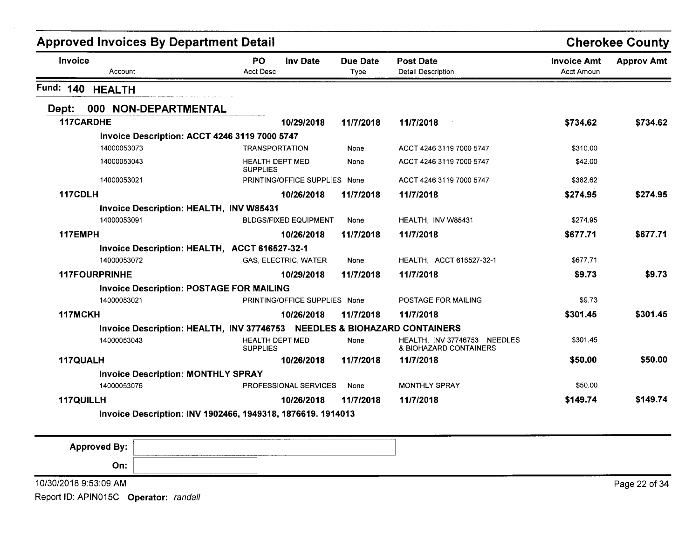|                                           |                                                                                                                                                                                                                                                                                            |                                                                                                                                                                                               |                                                                          | <b>Cherokee County</b> |
|-------------------------------------------|--------------------------------------------------------------------------------------------------------------------------------------------------------------------------------------------------------------------------------------------------------------------------------------------|-----------------------------------------------------------------------------------------------------------------------------------------------------------------------------------------------|--------------------------------------------------------------------------|------------------------|
| PO<br><b>Inv Date</b><br><b>Acct Desc</b> | <b>Due Date</b><br><b>Type</b>                                                                                                                                                                                                                                                             | <b>Post Date</b><br>Detail Description                                                                                                                                                        | <b>Invoice Amt</b><br><b>Acct Amoun</b>                                  | <b>Approv Amt</b>      |
|                                           |                                                                                                                                                                                                                                                                                            |                                                                                                                                                                                               |                                                                          |                        |
|                                           |                                                                                                                                                                                                                                                                                            |                                                                                                                                                                                               |                                                                          |                        |
| 10/29/2018                                | 11/7/2018                                                                                                                                                                                                                                                                                  | 11/7/2018                                                                                                                                                                                     | \$734.62                                                                 | \$734.62               |
|                                           |                                                                                                                                                                                                                                                                                            |                                                                                                                                                                                               |                                                                          |                        |
| <b>TRANSPORTATION</b>                     | None                                                                                                                                                                                                                                                                                       | ACCT 4246 3119 7000 5747                                                                                                                                                                      | \$310.00                                                                 |                        |
| <b>HEALTH DEPT MED</b><br><b>SUPPLIES</b> | None                                                                                                                                                                                                                                                                                       | ACCT 4246 3119 7000 5747                                                                                                                                                                      | \$42.00                                                                  |                        |
|                                           |                                                                                                                                                                                                                                                                                            | ACCT 4246 3119 7000 5747                                                                                                                                                                      | \$382.62                                                                 |                        |
| 10/26/2018                                | 11/7/2018                                                                                                                                                                                                                                                                                  | 11/7/2018                                                                                                                                                                                     | \$274.95                                                                 | \$274.95               |
|                                           |                                                                                                                                                                                                                                                                                            |                                                                                                                                                                                               |                                                                          |                        |
|                                           | None                                                                                                                                                                                                                                                                                       | HEALTH. INV W85431                                                                                                                                                                            | \$274.95                                                                 |                        |
| 10/26/2018                                | 11/7/2018                                                                                                                                                                                                                                                                                  | 11/7/2018                                                                                                                                                                                     | \$677.71                                                                 | \$677.71               |
|                                           |                                                                                                                                                                                                                                                                                            |                                                                                                                                                                                               |                                                                          |                        |
| <b>GAS, ELECTRIC, WATER</b>               | None                                                                                                                                                                                                                                                                                       | HEALTH, ACCT 616527-32-1                                                                                                                                                                      | \$677.71                                                                 |                        |
| 10/29/2018                                | 11/7/2018                                                                                                                                                                                                                                                                                  | 11/7/2018                                                                                                                                                                                     | \$9.73                                                                   | \$9.73                 |
|                                           |                                                                                                                                                                                                                                                                                            |                                                                                                                                                                                               |                                                                          |                        |
|                                           |                                                                                                                                                                                                                                                                                            | POSTAGE FOR MAILING                                                                                                                                                                           | \$9.73                                                                   |                        |
| 10/26/2018                                | 11/7/2018                                                                                                                                                                                                                                                                                  | 11/7/2018                                                                                                                                                                                     | \$301.45                                                                 | \$301.45               |
|                                           |                                                                                                                                                                                                                                                                                            |                                                                                                                                                                                               |                                                                          |                        |
| <b>HEALTH DEPT MED</b><br><b>SUPPLIES</b> | None                                                                                                                                                                                                                                                                                       | HEALTH, INV 37746753 NEEDLES<br>& BIOHAZARD CONTAINERS                                                                                                                                        | \$301.45                                                                 |                        |
| 10/26/2018                                | 11/7/2018                                                                                                                                                                                                                                                                                  | 11/7/2018                                                                                                                                                                                     | \$50.00                                                                  | \$50.00                |
|                                           |                                                                                                                                                                                                                                                                                            |                                                                                                                                                                                               |                                                                          |                        |
|                                           | None                                                                                                                                                                                                                                                                                       | <b>MONTHLY SPRAY</b>                                                                                                                                                                          | \$50.00                                                                  |                        |
| 10/26/2018                                | 11/7/2018                                                                                                                                                                                                                                                                                  | 11/7/2018                                                                                                                                                                                     | \$149.74                                                                 | \$149.74               |
|                                           |                                                                                                                                                                                                                                                                                            |                                                                                                                                                                                               |                                                                          |                        |
|                                           | <b>Approved Invoices By Department Detail</b><br>Invoice Description: ACCT 4246 3119 7000 5747<br>Invoice Description: HEALTH, INV W85431<br>Invoice Description: HEALTH, ACCT 616527-32-1<br><b>Invoice Description: POSTAGE FOR MAILING</b><br><b>Invoice Description: MONTHLY SPRAY</b> | PRINTING/OFFICE SUPPLIES None<br><b>BLDGS/FIXED EQUIPMENT</b><br>PRINTING/OFFICE SUPPLIES None<br><b>PROFESSIONAL SERVICES</b><br>Invoice Description: INV 1902466, 1949318, 1876619. 1914013 | Invoice Description: HEALTH, INV 37746753 NEEDLES & BIOHAZARD CONTAINERS |                        |

| <b>Approved By:</b>   |                  |
|-----------------------|------------------|
| On:                   |                  |
| 10/30/2018 9:53:09 AM | Page 22<br>of 34 |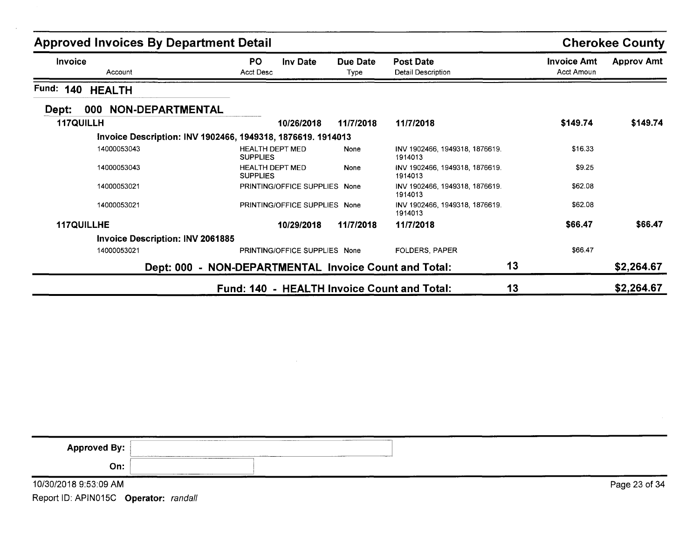| <b>Approved Invoices By Department Detail</b>               |                                                       |                  |                                               | <b>Cherokee County</b>                  |                   |
|-------------------------------------------------------------|-------------------------------------------------------|------------------|-----------------------------------------------|-----------------------------------------|-------------------|
| <b>Invoice</b><br>Account                                   | PO.<br><b>Inv Date</b><br><b>Acct Desc</b>            | Due Date<br>Type | <b>Post Date</b><br><b>Detail Description</b> | <b>Invoice Amt</b><br><b>Acct Amoun</b> | <b>Approv Amt</b> |
| Fund:<br>140<br><b>HEALTH</b>                               |                                                       |                  |                                               |                                         |                   |
| 000 NON-DEPARTMENTAL<br>Dept:                               |                                                       |                  |                                               |                                         |                   |
| <b>117QUILLH</b>                                            | 10/26/2018                                            | 11/7/2018        | 11/7/2018                                     | \$149.74                                | \$149.74          |
| Invoice Description: INV 1902466, 1949318, 1876619. 1914013 |                                                       |                  |                                               |                                         |                   |
| 14000053043                                                 | <b>HEALTH DEPT MED</b><br><b>SUPPLIES</b>             | None             | INV 1902466, 1949318, 1876619.<br>1914013     | \$16.33                                 |                   |
| 14000053043                                                 | <b>HEALTH DEPT MED</b><br><b>SUPPLIES</b>             | None             | INV 1902466, 1949318, 1876619.<br>1914013     | \$9.25                                  |                   |
| 14000053021                                                 | PRINTING/OFFICE SUPPLIES None                         |                  | INV 1902466, 1949318, 1876619.<br>1914013     | \$62.08                                 |                   |
| 14000053021                                                 | PRINTING/OFFICE SUPPLIES None                         |                  | INV 1902466, 1949318, 1876619.<br>1914013     | \$62.08                                 |                   |
| <b>117QUILLHE</b>                                           | 10/29/2018                                            | 11/7/2018        | 11/7/2018                                     | \$66.47                                 | \$66.47           |
| <b>Invoice Description: INV 2061885</b>                     |                                                       |                  |                                               |                                         |                   |
| 14000053021                                                 | PRINTING/OFFICE SUPPLIES None                         |                  | <b>FOLDERS, PAPER</b>                         | \$66.47                                 |                   |
|                                                             | Dept: 000 - NON-DEPARTMENTAL Invoice Count and Total: |                  | 13                                            |                                         | \$2,264.67        |
|                                                             | Fund: 140 - HEALTH Invoice Count and Total:           |                  | 13                                            |                                         | \$2,264.67        |

| <b>Approved By:</b>   | ________<br>,,,,,,,,,,,,,,,,,,,,,,,,,,,,,,,,,,,<br>--------<br>-----<br>------ |
|-----------------------|--------------------------------------------------------------------------------|
| On:                   | ____________________________<br>_____________________________                  |
| 10/30/2018 9:53:09 AM | Page 23 of 34                                                                  |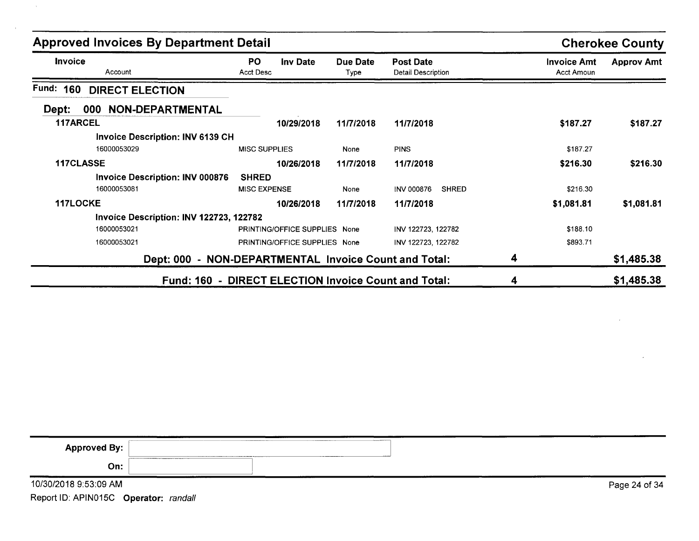| <b>Approved Invoices By Department Detail</b> |                                                       |                  |                                               |                                         | <b>Cherokee County</b> |  |
|-----------------------------------------------|-------------------------------------------------------|------------------|-----------------------------------------------|-----------------------------------------|------------------------|--|
| Invoice<br>Account                            | PO.<br><b>Inv Date</b><br>Acct Desc                   | Due Date<br>Type | <b>Post Date</b><br><b>Detail Description</b> | <b>Invoice Amt</b><br><b>Acct Amoun</b> | <b>Approv Amt</b>      |  |
| Fund: 160<br><b>DIRECT ELECTION</b>           |                                                       |                  |                                               |                                         |                        |  |
| 000 NON-DEPARTMENTAL<br>Dept:                 |                                                       |                  |                                               |                                         |                        |  |
| <b>117ARCEL</b>                               | 10/29/2018                                            | 11/7/2018        | 11/7/2018                                     | \$187.27                                | \$187.27               |  |
| <b>Invoice Description: INV 6139 CH</b>       |                                                       |                  |                                               |                                         |                        |  |
| 16000053029                                   | <b>MISC SUPPLIES</b>                                  | None             | <b>PINS</b>                                   | \$187.27                                |                        |  |
| 117CLASSE                                     | 10/26/2018                                            | 11/7/2018        | 11/7/2018                                     | \$216.30                                | \$216.30               |  |
| <b>Invoice Description: INV 000876</b>        | <b>SHRED</b>                                          |                  |                                               |                                         |                        |  |
| 16000053081                                   | <b>MISC EXPENSE</b>                                   | None             | <b>INV 000876</b><br><b>SHRED</b>             | \$216.30                                |                        |  |
| 117LOCKE                                      | 10/26/2018                                            | 11/7/2018        | 11/7/2018                                     | \$1,081.81                              | \$1,081.81             |  |
| Invoice Description: INV 122723, 122782       |                                                       |                  |                                               |                                         |                        |  |
| 16000053021                                   | PRINTING/OFFICE SUPPLIES None                         |                  | INV 122723, 122782                            | \$188.10                                |                        |  |
| 16000053021                                   | PRINTING/OFFICE SUPPLIES None                         |                  | INV 122723, 122782                            | \$893.71                                |                        |  |
|                                               | Dept: 000 - NON-DEPARTMENTAL Invoice Count and Total: |                  |                                               | 4                                       | \$1,485.38             |  |
|                                               | Fund: 160 - DIRECT ELECTION Invoice Count and Total:  |                  |                                               | 4                                       | \$1,485.38             |  |

| <b>Approved By:</b>   | ---------<br>______________<br>_________________________<br>--- |               |
|-----------------------|-----------------------------------------------------------------|---------------|
| On:                   |                                                                 |               |
| 10/30/2018 9:53:09 AM |                                                                 | Page 24 of 34 |

 $\mathbf{r}$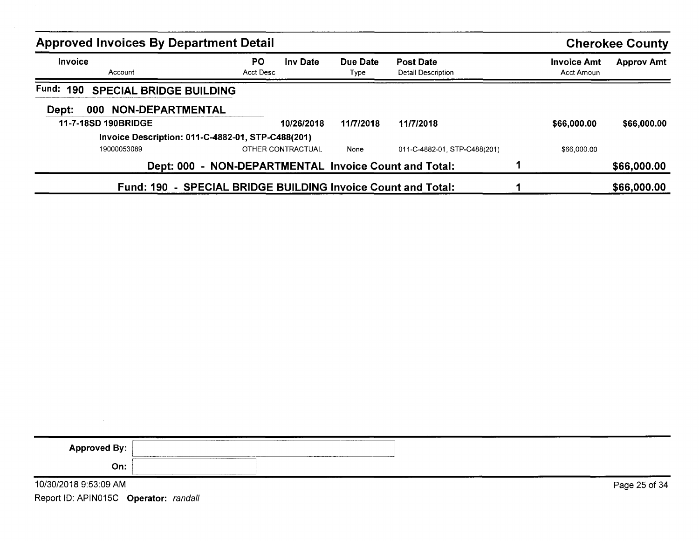|                           | <b>Approved Invoices By Department Detail</b>                |                   |                  |                                        |                                  | <b>Cherokee County</b> |
|---------------------------|--------------------------------------------------------------|-------------------|------------------|----------------------------------------|----------------------------------|------------------------|
| <b>Invoice</b><br>Account | PO.<br>Acct Desc                                             | <b>Inv Date</b>   | Due Date<br>Type | <b>Post Date</b><br>Detail Description | <b>Invoice Amt</b><br>Acct Amoun | <b>Approv Amt</b>      |
| <b>Fund: 190</b>          | <b>SPECIAL BRIDGE BUILDING</b>                               |                   |                  |                                        |                                  |                        |
| 000<br>Dept:              | <b>NON-DEPARTMENTAL</b>                                      |                   |                  |                                        |                                  |                        |
| 11-7-18SD 190BRIDGE       |                                                              | 10/26/2018        | 11/7/2018        | 11/7/2018                              | \$66,000.00                      | \$66,000.00            |
|                           | Invoice Description: 011-C-4882-01, STP-C488(201)            |                   |                  |                                        |                                  |                        |
| 19000053089               |                                                              | OTHER CONTRACTUAL | None             | 011-C-4882-01. STP-C488(201)           | \$66,000.00                      |                        |
|                           | Dept: 000 - NON-DEPARTMENTAL Invoice Count and Total:        |                   |                  |                                        |                                  | \$66,000.00            |
|                           | Fund: 190 - SPECIAL BRIDGE BUILDING Invoice Count and Total: |                   |                  |                                        |                                  | \$66,000.00            |

| <b>Approved By:</b>   | <b>CONTINUES</b> | ___________ |  |  |               |  |
|-----------------------|------------------|-------------|--|--|---------------|--|
| On:                   |                  |             |  |  |               |  |
| 10/30/2018 9:53:09 AM |                  |             |  |  | Page 25 of 34 |  |

 $\mathcal{L}^{\text{max}}_{\text{max}}$  and  $\mathcal{L}^{\text{max}}_{\text{max}}$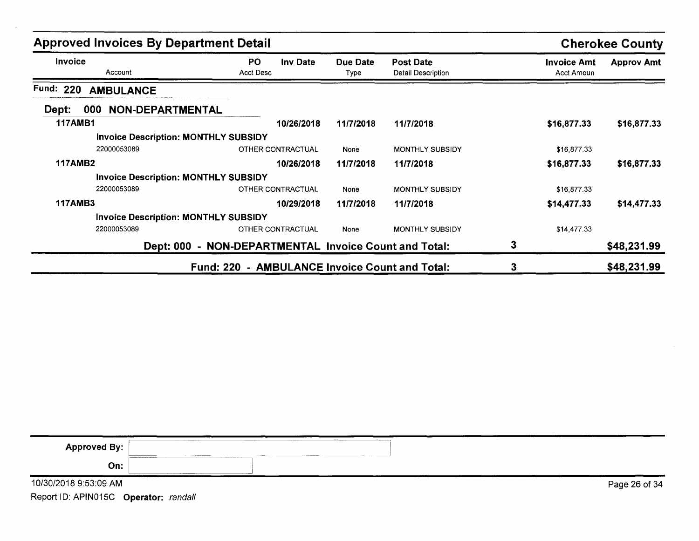| <b>Approved Invoices By Department Detail</b>  |                                                       |                  |                                               |                                  | <b>Cherokee County</b> |  |
|------------------------------------------------|-------------------------------------------------------|------------------|-----------------------------------------------|----------------------------------|------------------------|--|
| <b>Invoice</b><br>Account                      | <b>PO</b><br><b>Inv Date</b><br>Acct Desc             | Due Date<br>Type | <b>Post Date</b><br><b>Detail Description</b> | <b>Invoice Amt</b><br>Acct Amoun | <b>Approv Amt</b>      |  |
| Fund: 220<br><b>AMBULANCE</b>                  |                                                       |                  |                                               |                                  |                        |  |
| <b>NON-DEPARTMENTAL</b><br>Dept:<br><b>000</b> |                                                       |                  |                                               |                                  |                        |  |
| <b>117AMB1</b>                                 | 10/26/2018                                            | 11/7/2018        | 11/7/2018                                     | \$16,877.33                      | \$16,877.33            |  |
| <b>Invoice Description: MONTHLY SUBSIDY</b>    |                                                       |                  |                                               |                                  |                        |  |
| 22000053089                                    | OTHER CONTRACTUAL                                     | None             | <b>MONTHLY SUBSIDY</b>                        | \$16,877.33                      |                        |  |
| <b>117AMB2</b>                                 | 10/26/2018                                            | 11/7/2018        | 11/7/2018                                     | \$16,877.33                      | \$16,877.33            |  |
| <b>Invoice Description: MONTHLY SUBSIDY</b>    |                                                       |                  |                                               |                                  |                        |  |
| 22000053089                                    | OTHER CONTRACTUAL                                     | None             | <b>MONTHLY SUBSIDY</b>                        | \$16,877.33                      |                        |  |
| <b>117AMB3</b>                                 | 10/29/2018                                            | 11/7/2018        | 11/7/2018                                     | \$14,477.33                      | \$14,477.33            |  |
| <b>Invoice Description: MONTHLY SUBSIDY</b>    |                                                       |                  |                                               |                                  |                        |  |
| 22000053089                                    | OTHER CONTRACTUAL                                     | None             | <b>MONTHLY SUBSIDY</b>                        | \$14,477.33                      |                        |  |
|                                                | Dept: 000 - NON-DEPARTMENTAL Invoice Count and Total: |                  |                                               | 3                                | \$48,231.99            |  |
|                                                | Fund: 220 - AMBULANCE Invoice Count and Total:        |                  |                                               | 3                                | \$48,231.99            |  |

| <b>Approved By:</b>   | <b><i><u>ABON COMMENTANT</u></i></b><br>_______<br>A 1400 Forest Group Corp.<br>___________ |               |
|-----------------------|---------------------------------------------------------------------------------------------|---------------|
| On:                   |                                                                                             |               |
| 10/30/2018 9:53:09 AM |                                                                                             | Page 26 of 34 |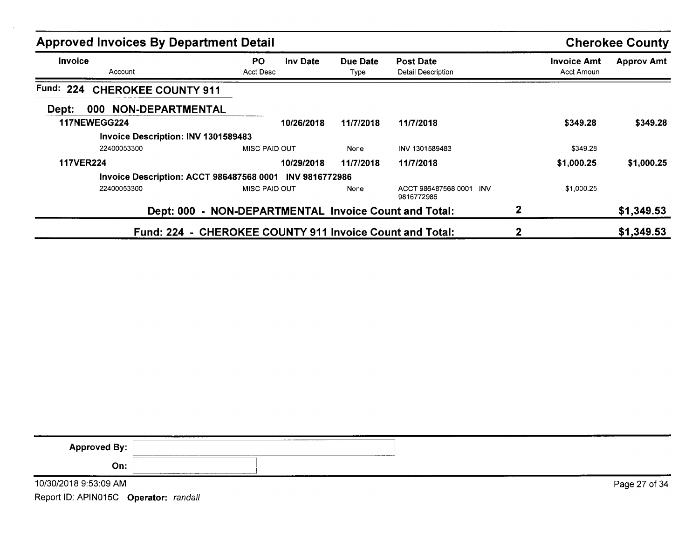| <b>Approved Invoices By Department Detail</b> |                                                          | <b>Cherokee County</b> |                                           |                                  |                   |
|-----------------------------------------------|----------------------------------------------------------|------------------------|-------------------------------------------|----------------------------------|-------------------|
| Invoice<br>Account                            | <b>PO</b><br><b>Inv Date</b><br>Acct Desc                | Due Date<br>Type       | <b>Post Date</b><br>Detail Description    | <b>Invoice Amt</b><br>Acct Amoun | <b>Approv Amt</b> |
| Fund: 224<br><b>CHEROKEE COUNTY 911</b>       |                                                          |                        |                                           |                                  |                   |
| <b>NON-DEPARTMENTAL</b><br>Dept:<br>000       |                                                          |                        |                                           |                                  |                   |
| <b>117NEWEGG224</b>                           | 10/26/2018                                               | 11/7/2018              | 11/7/2018                                 | \$349.28                         | \$349.28          |
| Invoice Description: INV 1301589483           |                                                          |                        |                                           |                                  |                   |
| 22400053300                                   | MISC PAID OUT                                            | None                   | INV 1301589483                            | \$349.28                         |                   |
| <b>117VER224</b>                              | 10/29/2018                                               | 11/7/2018              | 11/7/2018                                 | \$1,000.25                       | \$1,000.25        |
|                                               | Invoice Description: ACCT 986487568 0001 INV 9816772986  |                        |                                           |                                  |                   |
| 22400053300                                   | <b>MISC PAID OUT</b>                                     | None                   | ACCT 986487568 0001<br>-INV<br>9816772986 | \$1,000.25                       |                   |
|                                               | Dept: 000 - NON-DEPARTMENTAL Invoice Count and Total:    |                        |                                           | $\mathbf{2}$                     | \$1,349.53        |
|                                               | Fund: 224 - CHEROKEE COUNTY 911 Invoice Count and Total: |                        |                                           | 2                                | \$1,349.53        |

| Approved By:          | _____________<br>The company of the company of the company of the company of the company of the company of the company of the company of the company of the company of the company of the company of the company of the company of the company |               |
|-----------------------|------------------------------------------------------------------------------------------------------------------------------------------------------------------------------------------------------------------------------------------------|---------------|
| On:                   | <b>ANTIQUES COMPANY</b><br>------                                                                                                                                                                                                              |               |
| 10/30/2018 9:53:09 AM |                                                                                                                                                                                                                                                | Page 27 of 34 |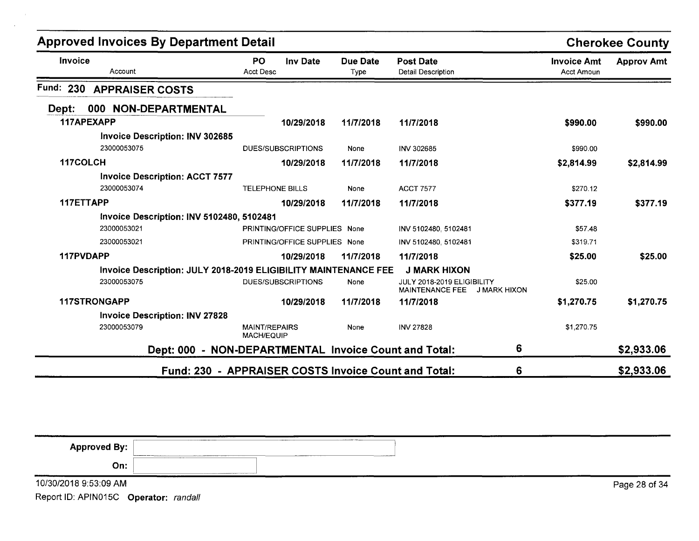| <b>Approved Invoices By Department Detail</b>                   |                                                       |                         |                                                            |                                  | <b>Cherokee County</b> |
|-----------------------------------------------------------------|-------------------------------------------------------|-------------------------|------------------------------------------------------------|----------------------------------|------------------------|
| Invoice<br>Account                                              | PO<br><b>Inv Date</b><br><b>Acct Desc</b>             | <b>Due Date</b><br>Type | <b>Post Date</b><br><b>Detail Description</b>              | <b>Invoice Amt</b><br>Acct Amoun | <b>Approv Amt</b>      |
| Fund:<br>230<br><b>APPRAISER COSTS</b>                          |                                                       |                         |                                                            |                                  |                        |
| 000 NON-DEPARTMENTAL<br>Dept:                                   |                                                       |                         |                                                            |                                  |                        |
| 117APEXAPP                                                      | 10/29/2018                                            | 11/7/2018               | 11/7/2018                                                  | \$990.00                         | \$990.00               |
| <b>Invoice Description: INV 302685</b><br>23000053075           | <b>DUES/SUBSCRIPTIONS</b>                             | None                    | INV 302685                                                 | \$990.00                         |                        |
| 117COLCH                                                        | 10/29/2018                                            | 11/7/2018               | 11/7/2018                                                  | \$2,814.99                       | \$2,814.99             |
| <b>Invoice Description: ACCT 7577</b>                           |                                                       |                         |                                                            |                                  |                        |
| 23000053074                                                     | <b>TELEPHONE BILLS</b>                                | None                    | <b>ACCT 7577</b>                                           | \$270.12                         |                        |
| 117ETTAPP                                                       | 10/29/2018                                            | 11/7/2018               | 11/7/2018                                                  | \$377.19                         | \$377.19               |
| Invoice Description: INV 5102480, 5102481                       |                                                       |                         |                                                            |                                  |                        |
| 23000053021                                                     | PRINTING/OFFICE SUPPLIES None                         |                         | INV 5102480, 5102481                                       | \$57.48                          |                        |
| 23000053021                                                     | PRINTING/OFFICE SUPPLIES None                         |                         | INV 5102480, 5102481                                       | \$319.71                         |                        |
| 117PVDAPP                                                       | 10/29/2018                                            | 11/7/2018               | 11/7/2018                                                  | \$25.00                          | \$25.00                |
| Invoice Description: JULY 2018-2019 ELIGIBILITY MAINTENANCE FEE |                                                       |                         | <b>J MARK HIXON</b>                                        |                                  |                        |
| 23000053075                                                     | DUES/SUBSCRIPTIONS                                    | None                    | JULY 2018-2019 ELIGIBILITY<br>MAINTENANCE FEE J MARK HIXON | \$25.00                          |                        |
| 117STRONGAPP                                                    | 10/29/2018                                            | 11/7/2018               | 11/7/2018                                                  | \$1,270.75                       | \$1,270.75             |
| <b>Invoice Description: INV 27828</b>                           |                                                       |                         |                                                            |                                  |                        |
| 23000053079                                                     | <b>MAINT/REPAIRS</b><br><b>MACH/EQUIP</b>             | None                    | <b>INV 27828</b>                                           | \$1,270.75                       |                        |
|                                                                 | Dept: 000 - NON-DEPARTMENTAL Invoice Count and Total: |                         | 6                                                          |                                  | \$2,933.06             |
|                                                                 | Fund: 230 - APPRAISER COSTS Invoice Count and Total:  |                         | 6                                                          |                                  | \$2,933.06             |

| _______________________<br>Approved By:<br>- 11 |                                                                                                                                                                                                                                                                             | and a second construction of the company of |  |  |
|-------------------------------------------------|-----------------------------------------------------------------------------------------------------------------------------------------------------------------------------------------------------------------------------------------------------------------------------|---------------------------------------------|--|--|
| On:                                             | <b>CONTINUOUS COMMANDS OF A REPORT OF A STATE OF A REPORT OF A STATE OF A REPORT OF A STATE OF A REPORT OF A STATE OF A REPORT OF A STATE OF A REPORT OF A REPORT OF A REPORT OF A REPORT OF A REPORT OF A REPORT OF A REPORT OF</b><br>the contract of the contract of the |                                             |  |  |

10/30/2018 9:53:09 AM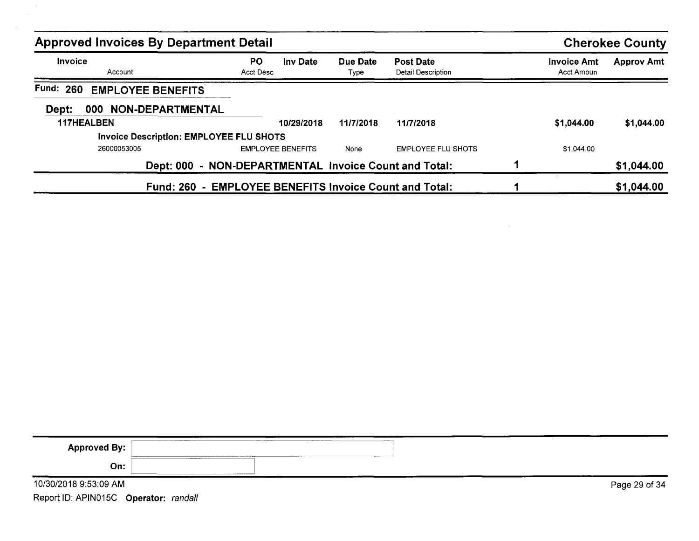| <b>Approved Invoices By Department Detail</b>  |                                                        |                  |                                        |  |                                  | <b>Cherokee County</b> |
|------------------------------------------------|--------------------------------------------------------|------------------|----------------------------------------|--|----------------------------------|------------------------|
| Invoice<br>Account                             | <b>PO</b><br>Inv Date<br>Acct Desc                     | Due Date<br>Type | <b>Post Date</b><br>Detail Description |  | <b>Invoice Amt</b><br>Acct Amoun | <b>Approv Amt</b>      |
| <b>Fund: 260</b><br><b>EMPLOYEE BENEFITS</b>   |                                                        |                  |                                        |  |                                  |                        |
| 000 NON-DEPARTMENTAL<br>Dept:                  |                                                        |                  |                                        |  |                                  |                        |
| <b>117HEALBEN</b>                              | 10/29/2018                                             | 11/7/2018        | 11/7/2018                              |  | \$1,044.00                       | \$1,044.00             |
| <b>Invoice Description: EMPLOYEE FLU SHOTS</b> |                                                        |                  |                                        |  |                                  |                        |
| 26000053005                                    | <b>EMPLOYEE BENEFITS</b>                               | None             | <b>EMPLOYEE FLU SHOTS</b>              |  | \$1,044.00                       |                        |
|                                                | Dept: 000 - NON-DEPARTMENTAL Invoice Count and Total:  |                  |                                        |  |                                  | \$1,044.00             |
|                                                | Fund: 260 - EMPLOYEE BENEFITS Invoice Count and Total: |                  |                                        |  |                                  | \$1,044.00             |

 $\sim 10^{11}$  m  $^{-1}$ 

| <b>Approved By:</b>   | <b><i>Programme</i></b><br>___________<br>of the Associated Methods Property and Technical<br>________<br>$ -$<br>_________ |               |
|-----------------------|-----------------------------------------------------------------------------------------------------------------------------|---------------|
| On:                   |                                                                                                                             |               |
| 10/30/2018 9:53:09 AM |                                                                                                                             | Page 29 of 34 |

Report ID: APIN015C **Operator:** randall

 $\sim 100$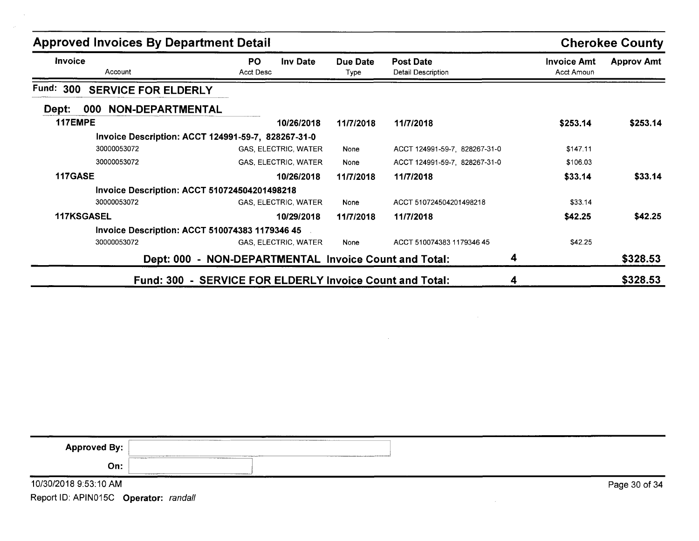| <b>Approved Invoices By Department Detail</b>         |                                                          |                  |                                        |                                         | <b>Cherokee County</b> |
|-------------------------------------------------------|----------------------------------------------------------|------------------|----------------------------------------|-----------------------------------------|------------------------|
| Invoice<br>Account                                    | PO.<br><b>Inv Date</b><br>Acct Desc                      | Due Date<br>Type | <b>Post Date</b><br>Detail Description | <b>Invoice Amt</b><br><b>Acct Amoun</b> | <b>Approv Amt</b>      |
| Fund: 300<br><b>SERVICE FOR ELDERLY</b>               |                                                          |                  |                                        |                                         |                        |
| 000 NON-DEPARTMENTAL<br>Dept:                         |                                                          |                  |                                        |                                         |                        |
| 117EMPE                                               | 10/26/2018                                               | 11/7/2018        | 11/7/2018                              | \$253.14                                | \$253.14               |
| Invoice Description: ACCT 124991-59-7, 828267-31-0    |                                                          |                  |                                        |                                         |                        |
| 30000053072                                           | GAS, ELECTRIC, WATER                                     | None             | ACCT 124991-59-7, 828267-31-0          | \$147.11                                |                        |
| 30000053072                                           | GAS, ELECTRIC, WATER                                     | None             | ACCT 124991-59-7, 828267-31-0          | \$106.03                                |                        |
| 117GASE                                               | 10/26/2018                                               | 11/7/2018        | 11/7/2018                              | \$33.14                                 | \$33.14                |
| <b>Invoice Description: ACCT 510724504201498218</b>   |                                                          |                  |                                        |                                         |                        |
| 30000053072                                           | <b>GAS. ELECTRIC, WATER</b>                              | None             | ACCT 510724504201498218                | \$33.14                                 |                        |
| <b>117KSGASEL</b>                                     | 10/29/2018                                               | 11/7/2018        | 11/7/2018                              | \$42.25                                 | \$42.25                |
| <b>Invoice Description: ACCT 510074383 1179346 45</b> |                                                          |                  |                                        |                                         |                        |
| 30000053072                                           | GAS, ELECTRIC, WATER                                     | None             | ACCT 510074383 1179346 45              | \$42.25                                 |                        |
|                                                       | Dept: 000 - NON-DEPARTMENTAL Invoice Count and Total:    |                  | 4                                      |                                         | \$328.53               |
|                                                       | Fund: 300 - SERVICE FOR ELDERLY Invoice Count and Total: |                  | 4                                      |                                         | \$328.53               |

| <b>Approved By:</b>   | _________<br>The property of the property of the local dealers | The construction of the construction of the construction of the construction of the construction of the construction of the construction of the construction of the construction of the construction of the construction of th |  |               |
|-----------------------|----------------------------------------------------------------|--------------------------------------------------------------------------------------------------------------------------------------------------------------------------------------------------------------------------------|--|---------------|
| On:                   | -----------                                                    |                                                                                                                                                                                                                                |  |               |
| 10/30/2018 9:53:10 AM |                                                                |                                                                                                                                                                                                                                |  | Page 30 of 34 |

 $\sim$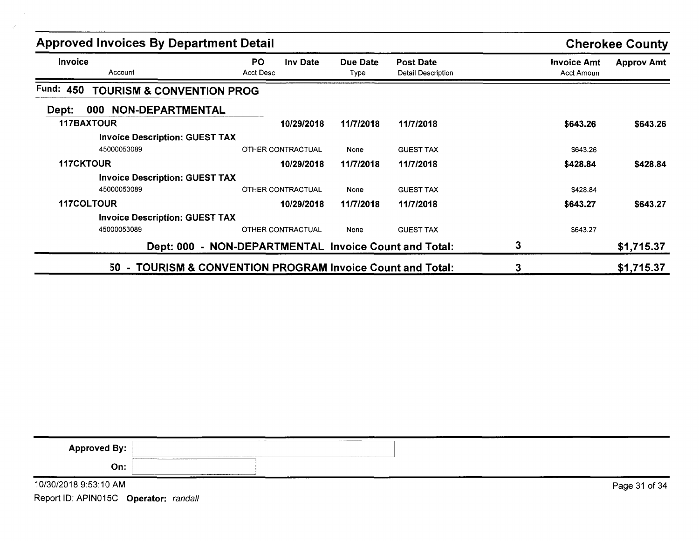| <b>Approved Invoices By Department Detail</b>     | <b>Cherokee County</b>                                     |                  |                                        |                                  |                   |
|---------------------------------------------------|------------------------------------------------------------|------------------|----------------------------------------|----------------------------------|-------------------|
| <b>Invoice</b><br>Account                         | PO.<br><b>Inv Date</b><br>Acct Desc                        | Due Date<br>Type | <b>Post Date</b><br>Detail Description | <b>Invoice Amt</b><br>Acct Amoun | <b>Approv Amt</b> |
| Fund: 450<br><b>TOURISM &amp; CONVENTION PROG</b> |                                                            |                  |                                        |                                  |                   |
| 000 NON-DEPARTMENTAL<br>Dept:                     |                                                            |                  |                                        |                                  |                   |
| <b>117BAXTOUR</b>                                 | 10/29/2018                                                 | 11/7/2018        | 11/7/2018                              | \$643.26                         | \$643.26          |
| <b>Invoice Description: GUEST TAX</b>             |                                                            |                  |                                        |                                  |                   |
| 45000053089                                       | OTHER CONTRACTUAL                                          | None             | <b>GUEST TAX</b>                       | \$643.26                         |                   |
| <b>117CKTOUR</b>                                  | 10/29/2018                                                 | 11/7/2018        | 11/7/2018                              | \$428.84                         | \$428.84          |
| <b>Invoice Description: GUEST TAX</b>             |                                                            |                  |                                        |                                  |                   |
| 45000053089                                       | <b>OTHER CONTRACTUAL</b>                                   | None             | <b>GUEST TAX</b>                       | \$428.84                         |                   |
| <b>117COLTOUR</b>                                 | 10/29/2018                                                 | 11/7/2018        | 11/7/2018                              | \$643.27                         | \$643.27          |
| <b>Invoice Description: GUEST TAX</b>             |                                                            |                  |                                        |                                  |                   |
| 45000053089                                       | OTHER CONTRACTUAL                                          | None             | <b>GUEST TAX</b>                       | \$643.27                         |                   |
|                                                   | Dept: 000 - NON-DEPARTMENTAL Invoice Count and Total:      |                  |                                        | 3                                | \$1,715.37        |
|                                                   | 50 - TOURISM & CONVENTION PROGRAM Invoice Count and Total: |                  |                                        | 3                                | \$1,715.37        |

| <b>Approved By:</b>   | ____________ |  |               |
|-----------------------|--------------|--|---------------|
| On:                   |              |  |               |
| 10/30/2018 9:53:10 AM |              |  | Page 31 of 34 |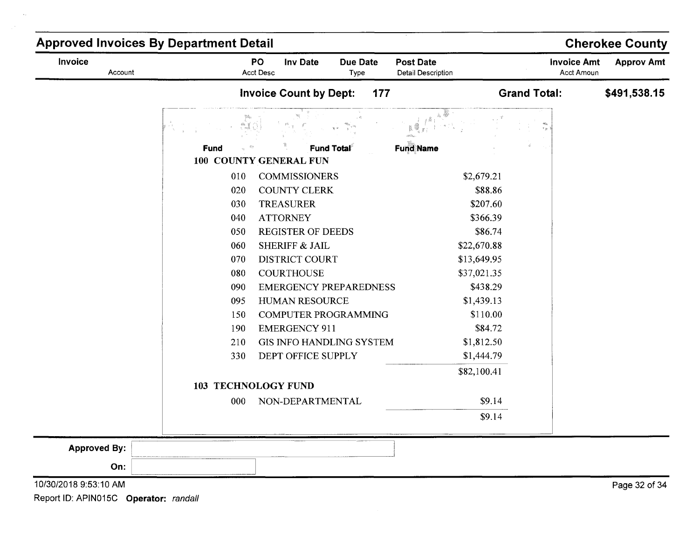| Fund<br>100 COUNTY GENERAL FUN<br>010<br>020<br>030<br>040<br>050<br>060<br>070<br>080<br>090<br>095<br>150<br>190<br>210<br>330<br><b>103 TECHNOLOGY FUND</b><br>000 | <b>Invoice Count by Dept:</b><br>177 |                  |                     | Acct Amoun   |
|-----------------------------------------------------------------------------------------------------------------------------------------------------------------------|--------------------------------------|------------------|---------------------|--------------|
|                                                                                                                                                                       |                                      |                  | <b>Grand Total:</b> | \$491,538.15 |
|                                                                                                                                                                       |                                      |                  | r ja                |              |
|                                                                                                                                                                       | <b>Fund Total</b>                    | <b>Fund Name</b> |                     |              |
|                                                                                                                                                                       | <b>COMMISSIONERS</b>                 | \$2,679.21       |                     |              |
|                                                                                                                                                                       | COUNTY CLERK                         | \$88.86          |                     |              |
|                                                                                                                                                                       | <b>TREASURER</b>                     | \$207.60         |                     |              |
|                                                                                                                                                                       | <b>ATTORNEY</b>                      | \$366.39         |                     |              |
|                                                                                                                                                                       | <b>REGISTER OF DEEDS</b>             | \$86.74          |                     |              |
|                                                                                                                                                                       | SHERIFF & JAIL                       | \$22,670.88      |                     |              |
|                                                                                                                                                                       | <b>DISTRICT COURT</b>                | \$13,649.95      |                     |              |
|                                                                                                                                                                       | <b>COURTHOUSE</b>                    | \$37,021.35      |                     |              |
|                                                                                                                                                                       | <b>EMERGENCY PREPAREDNESS</b>        | \$438.29         |                     |              |
|                                                                                                                                                                       | HUMAN RESOURCE                       | \$1,439.13       |                     |              |
|                                                                                                                                                                       | <b>COMPUTER PROGRAMMING</b>          | \$110.00         |                     |              |
|                                                                                                                                                                       | <b>EMERGENCY 911</b>                 | \$84.72          |                     |              |
|                                                                                                                                                                       | <b>GIS INFO HANDLING SYSTEM</b>      | \$1,812.50       |                     |              |
|                                                                                                                                                                       | DEPT OFFICE SUPPLY                   | \$1,444.79       |                     |              |
|                                                                                                                                                                       |                                      | \$82,100.41      |                     |              |
|                                                                                                                                                                       |                                      |                  |                     |              |
|                                                                                                                                                                       | NON-DEPARTMENTAL                     | \$9.14           |                     |              |
|                                                                                                                                                                       |                                      | \$9.14           |                     |              |
| <b>Approved By:</b>                                                                                                                                                   |                                      |                  |                     |              |
| On:                                                                                                                                                                   |                                      |                  |                     |              |

10/30/20189:53:10 AM

 $\bar{\mathcal{A}}$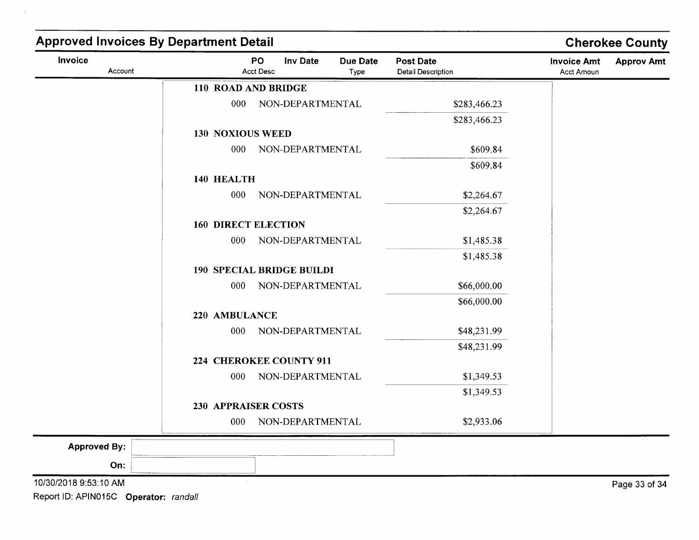| Invoice<br>Account    |                            | PO<br><b>Inv Date</b><br>Acct Desc | <b>Due Date</b><br>Type | <b>Post Date</b><br><b>Detail Description</b> | <b>Invoice Amt</b><br>Acct Amoun | <b>Approv Amt</b> |
|-----------------------|----------------------------|------------------------------------|-------------------------|-----------------------------------------------|----------------------------------|-------------------|
|                       | 110 ROAD AND BRIDGE        |                                    |                         |                                               |                                  |                   |
|                       | 000                        | NON-DEPARTMENTAL                   |                         | \$283,466.23                                  |                                  |                   |
|                       |                            |                                    |                         | \$283,466.23                                  |                                  |                   |
|                       | <b>130 NOXIOUS WEED</b>    |                                    |                         |                                               |                                  |                   |
|                       | 000                        | NON-DEPARTMENTAL                   |                         | \$609.84                                      |                                  |                   |
|                       |                            |                                    |                         | \$609.84                                      |                                  |                   |
|                       | 140 HEALTH                 |                                    |                         |                                               |                                  |                   |
|                       | 000                        | NON-DEPARTMENTAL                   |                         | \$2,264.67                                    |                                  |                   |
|                       |                            |                                    |                         | \$2,264.67                                    |                                  |                   |
|                       | <b>160 DIRECT ELECTION</b> |                                    |                         |                                               |                                  |                   |
|                       | 000                        | NON-DEPARTMENTAL                   |                         | \$1,485.38                                    |                                  |                   |
|                       |                            |                                    |                         | \$1,485.38                                    |                                  |                   |
|                       |                            | <b>190 SPECIAL BRIDGE BUILDI</b>   |                         |                                               |                                  |                   |
|                       | 000                        | NON-DEPARTMENTAL                   |                         | \$66,000.00                                   |                                  |                   |
|                       |                            |                                    |                         | \$66,000.00                                   |                                  |                   |
|                       | 220 AMBULANCE              |                                    |                         |                                               |                                  |                   |
|                       | 000                        | NON-DEPARTMENTAL                   |                         | \$48,231.99                                   |                                  |                   |
|                       |                            | 224 CHEROKEE COUNTY 911            |                         | \$48,231.99                                   |                                  |                   |
|                       | 000                        | NON-DEPARTMENTAL                   |                         | \$1,349.53                                    |                                  |                   |
|                       |                            |                                    |                         | \$1,349.53                                    |                                  |                   |
|                       | <b>230 APPRAISER COSTS</b> |                                    |                         |                                               |                                  |                   |
|                       | 000                        | NON-DEPARTMENTAL                   |                         | \$2,933.06                                    |                                  |                   |
| <b>Approved By:</b>   |                            |                                    |                         |                                               |                                  |                   |
| On:                   |                            |                                    |                         |                                               |                                  |                   |
| 10/30/2018 9:53:10 AM |                            |                                    |                         |                                               |                                  | Page 33 of 34     |

 $\sim$   $\lesssim$